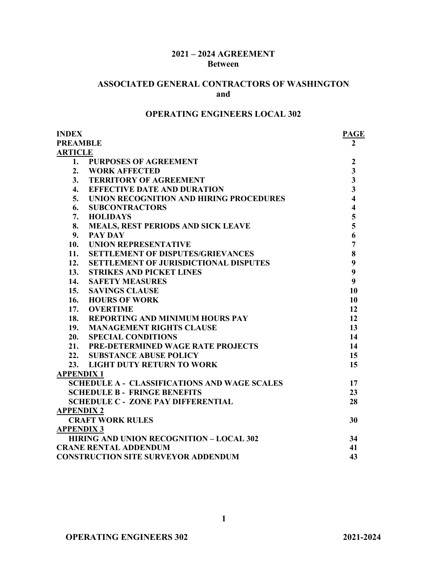## **2021 – 2024 AGREEMENT Between**

## **ASSOCIATED GENERAL CONTRACTORS OF WASHINGTON and**

# **OPERATING ENGINEERS LOCAL 302**

| <b>INDEX</b>                        |                                                     | <b>PAGE</b>             |
|-------------------------------------|-----------------------------------------------------|-------------------------|
| <b>PREAMBLE</b>                     |                                                     | 2                       |
| <b>ARTICLE</b>                      |                                                     |                         |
| 1.                                  | <b>PURPOSES OF AGREEMENT</b>                        | $\mathbf{2}$            |
| 2.                                  | <b>WORK AFFECTED</b>                                | $\overline{\mathbf{3}}$ |
| 3.                                  | <b>TERRITORY OF AGREEMENT</b>                       | $\overline{\mathbf{3}}$ |
| 4.                                  | <b>EFFECTIVE DATE AND DURATION</b>                  | $\overline{\mathbf{3}}$ |
| 5.                                  | UNION RECOGNITION AND HIRING PROCEDURES             | $\overline{\mathbf{4}}$ |
| 6.                                  | <b>SUBCONTRACTORS</b>                               | $\overline{\mathbf{4}}$ |
| 7.                                  | <b>HOLIDAYS</b>                                     | 5                       |
| 8.                                  | MEALS, REST PERIODS AND SICK LEAVE                  | 5                       |
| 9.                                  | <b>PAY DAY</b>                                      | 6                       |
| 10.                                 | <b>UNION REPRESENTATIVE</b>                         | $\overline{7}$          |
| 11.                                 | <b>SETTLEMENT OF DISPUTES/GRIEVANCES</b>            | 8                       |
| 12.                                 | <b>SETTLEMENT OF JURISDICTIONAL DISPUTES</b>        | 9                       |
| 13.                                 | <b>STRIKES AND PICKET LINES</b>                     | 9                       |
| 14.                                 | <b>SAFETY MEASURES</b>                              | $\boldsymbol{9}$        |
| 15.                                 | <b>SAVINGS CLAUSE</b>                               | 10                      |
| 16.                                 | <b>HOURS OF WORK</b>                                | 10                      |
| 17.                                 | <b>OVERTIME</b>                                     | 12                      |
| 18.                                 | <b>REPORTING AND MINIMUM HOURS PAY</b>              | 12                      |
| <b>19.</b>                          | <b>MANAGEMENT RIGHTS CLAUSE</b>                     | 13                      |
| 20.                                 | <b>SPECIAL CONDITIONS</b>                           | 14                      |
|                                     | 21. PRE-DETERMINED WAGE RATE PROJECTS               | 14                      |
| 22.                                 | <b>SUBSTANCE ABUSE POLICY</b>                       | 15                      |
| 23.                                 | <b>LIGHT DUTY RETURN TO WORK</b>                    | 15                      |
| <b>APPENDIX1</b>                    |                                                     |                         |
|                                     | <b>SCHEDULE A - CLASSIFICATIONS AND WAGE SCALES</b> | 17                      |
| <b>SCHEDULE B - FRINGE BENEFITS</b> |                                                     | 23                      |
|                                     | <b>SCHEDULE C - ZONE PAY DIFFERENTIAL</b>           | 28                      |
| <b>APPENDIX 2</b>                   |                                                     |                         |
|                                     | <b>CRAFT WORK RULES</b>                             | 30                      |
| <b>APPENDIX 3</b>                   |                                                     |                         |
|                                     | <b>HIRING AND UNION RECOGNITION - LOCAL 302</b>     | 34                      |
| <b>CRANE RENTAL ADDENDUM</b>        |                                                     | 41                      |
|                                     | <b>CONSTRUCTION SITE SURVEYOR ADDENDUM</b>          | 43                      |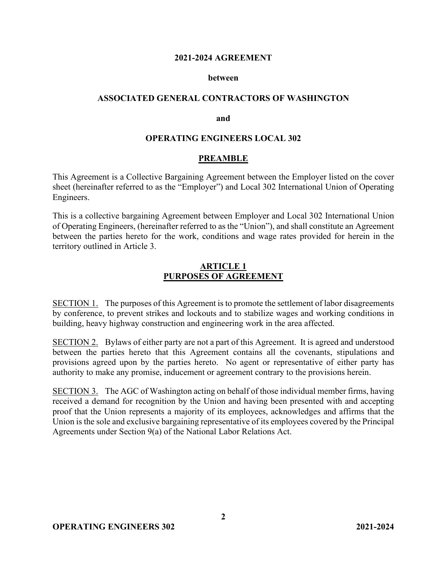#### **2021-2024 AGREEMENT**

#### **between**

#### **ASSOCIATED GENERAL CONTRACTORS OF WASHINGTON**

#### **and**

#### **OPERATING ENGINEERS LOCAL 302**

#### **PREAMBLE**

This Agreement is a Collective Bargaining Agreement between the Employer listed on the cover sheet (hereinafter referred to as the "Employer") and Local 302 International Union of Operating Engineers.

This is a collective bargaining Agreement between Employer and Local 302 International Union of Operating Engineers, (hereinafter referred to as the "Union"), and shall constitute an Agreement between the parties hereto for the work, conditions and wage rates provided for herein in the territory outlined in Article 3.

#### **ARTICLE 1 PURPOSES OF AGREEMENT**

SECTION 1. The purposes of this Agreement is to promote the settlement of labor disagreements by conference, to prevent strikes and lockouts and to stabilize wages and working conditions in building, heavy highway construction and engineering work in the area affected.

SECTION 2. Bylaws of either party are not a part of this Agreement. It is agreed and understood between the parties hereto that this Agreement contains all the covenants, stipulations and provisions agreed upon by the parties hereto. No agent or representative of either party has authority to make any promise, inducement or agreement contrary to the provisions herein.

SECTION 3. The AGC of Washington acting on behalf of those individual member firms, having received a demand for recognition by the Union and having been presented with and accepting proof that the Union represents a majority of its employees, acknowledges and affirms that the Union is the sole and exclusive bargaining representative of its employees covered by the Principal Agreements under Section 9(a) of the National Labor Relations Act.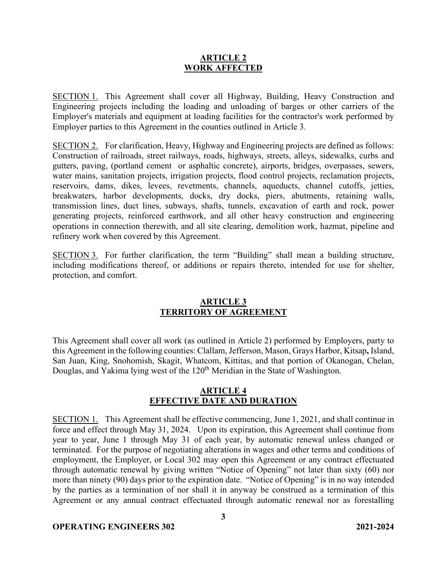#### **ARTICLE 2 WORK AFFECTED**

SECTION 1. This Agreement shall cover all Highway, Building, Heavy Construction and Engineering projects including the loading and unloading of barges or other carriers of the Employer's materials and equipment at loading facilities for the contractor's work performed by Employer parties to this Agreement in the counties outlined in Article 3.

SECTION 2. For clarification, Heavy, Highway and Engineering projects are defined as follows: Construction of railroads, street railways, roads, highways, streets, alleys, sidewalks, curbs and gutters, paving, (portland cement or asphaltic concrete), airports, bridges, overpasses, sewers, water mains, sanitation projects, irrigation projects, flood control projects, reclamation projects, reservoirs, dams, dikes, levees, revetments, channels, aqueducts, channel cutoffs, jetties, breakwaters, harbor developments, docks, dry docks, piers, abutments, retaining walls, transmission lines, duct lines, subways, shafts, tunnels, excavation of earth and rock, power generating projects, reinforced earthwork, and all other heavy construction and engineering operations in connection therewith, and all site clearing, demolition work, hazmat, pipeline and refinery work when covered by this Agreement.

SECTION 3. For further clarification, the term "Building" shall mean a building structure, including modifications thereof, or additions or repairs thereto, intended for use for shelter, protection, and comfort.

#### **ARTICLE 3 TERRITORY OF AGREEMENT**

This Agreement shall cover all work (as outlined in Article 2) performed by Employers, party to this Agreement in the following counties: Clallam, Jefferson, Mason, Grays Harbor, Kitsap**,** Island, San Juan, King, Snohomish, Skagit, Whatcom, Kittitas, and that portion of Okanogan, Chelan, Douglas, and Yakima lying west of the 120<sup>th</sup> Meridian in the State of Washington.

## **ARTICLE 4 EFFECTIVE DATE AND DURATION**

SECTION 1. This Agreement shall be effective commencing, June 1, 2021, and shall continue in force and effect through May 31, 2024. Upon its expiration, this Agreement shall continue from year to year, June 1 through May 31 of each year, by automatic renewal unless changed or terminated. For the purpose of negotiating alterations in wages and other terms and conditions of employment, the Employer, or Local 302 may open this Agreement or any contract effectuated through automatic renewal by giving written "Notice of Opening" not later than sixty (60) nor more than ninety (90) days prior to the expiration date. "Notice of Opening" is in no way intended by the parties as a termination of nor shall it in anyway be construed as a termination of this Agreement or any annual contract effectuated through automatic renewal nor as forestalling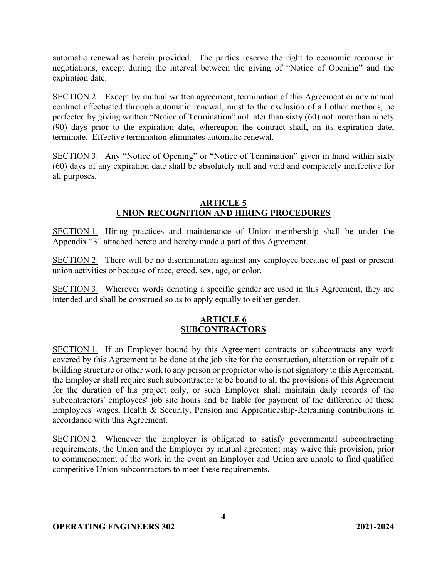automatic renewal as herein provided. The parties reserve the right to economic recourse in negotiations, except during the interval between the giving of "Notice of Opening" and the expiration date.

SECTION 2. Except by mutual written agreement, termination of this Agreement or any annual contract effectuated through automatic renewal, must to the exclusion of all other methods, be perfected by giving written "Notice of Termination" not later than sixty (60) not more than ninety (90) days prior to the expiration date, whereupon the contract shall, on its expiration date, terminate. Effective termination eliminates automatic renewal.

SECTION 3. Any "Notice of Opening" or "Notice of Termination" given in hand within sixty (60) days of any expiration date shall be absolutely null and void and completely ineffective for all purposes.

## **ARTICLE 5 UNION RECOGNITION AND HIRING PROCEDURES**

SECTION 1. Hiring practices and maintenance of Union membership shall be under the Appendix "3" attached hereto and hereby made a part of this Agreement.

SECTION 2. There will be no discrimination against any employee because of past or present union activities or because of race, creed, sex, age, or color.

SECTION 3. Wherever words denoting a specific gender are used in this Agreement, they are intended and shall be construed so as to apply equally to either gender.

## **ARTICLE 6 SUBCONTRACTORS**

SECTION 1. If an Employer bound by this Agreement contracts or subcontracts any work covered by this Agreement to be done at the job site for the construction, alteration or repair of a building structure or other work to any person or proprietor who is not signatory to this Agreement, the Employer shall require such subcontractor to be bound to all the provisions of this Agreement for the duration of his project only, or such Employer shall maintain daily records of the subcontractors' employees' job site hours and be liable for payment of the difference of these Employees' wages, Health & Security, Pension and Apprenticeship-Retraining contributions in accordance with this Agreement.

SECTION 2. Whenever the Employer is obligated to satisfy governmental subcontracting requirements, the Union and the Employer by mutual agreement may waive this provision, prior to commencement of the work in the event an Employer and Union are unable to find qualified competitive Union subcontractors to meet these requirements**.**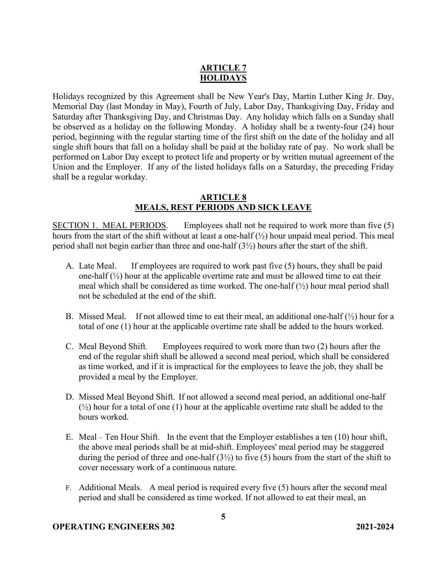## **ARTICLE 7 HOLIDAYS**

Holidays recognized by this Agreement shall be New Year's Day, Martin Luther King Jr. Day, Memorial Day (last Monday in May), Fourth of July, Labor Day, Thanksgiving Day, Friday and Saturday after Thanksgiving Day, and Christmas Day. Any holiday which falls on a Sunday shall be observed as a holiday on the following Monday. A holiday shall be a twenty-four (24) hour period, beginning with the regular starting time of the first shift on the date of the holiday and all single shift hours that fall on a holiday shall be paid at the holiday rate of pay. No work shall be performed on Labor Day except to protect life and property or by written mutual agreement of the Union and the Employer. If any of the listed holidays falls on a Saturday, the preceding Friday shall be a regular workday.

### **ARTICLE 8 MEALS, REST PERIODS AND SICK LEAVE**

SECTION 1. MEAL PERIODS. Employees shall not be required to work more than five (5) hours from the start of the shift without at least a one-half (½) hour unpaid meal period. This meal period shall not begin earlier than three and one-half (3½) hours after the start of the shift.

- A. Late Meal. If employees are required to work past five (5) hours, they shall be paid one-half  $(\frac{1}{2})$  hour at the applicable overtime rate and must be allowed time to eat their meal which shall be considered as time worked. The one-half  $(\frac{1}{2})$  hour meal period shall not be scheduled at the end of the shift.
- B. Missed Meal. If not allowed time to eat their meal, an additional one-half  $(\frac{1}{2})$  hour for a total of one (1) hour at the applicable overtime rate shall be added to the hours worked.
- C. Meal Beyond Shift. Employees required to work more than two (2) hours after the end of the regular shift shall be allowed a second meal period, which shall be considered as time worked, and if it is impractical for the employees to leave the job, they shall be provided a meal by the Employer.
- D. Missed Meal Beyond Shift. If not allowed a second meal period, an additional one-half  $(\frac{1}{2})$  hour for a total of one (1) hour at the applicable overtime rate shall be added to the hours worked.
- E. Meal Ten Hour Shift. In the event that the Employer establishes a ten (10) hour shift, the above meal periods shall be at mid-shift. Employees' meal period may be staggered during the period of three and one-half  $(3\frac{1}{2})$  to five (5) hours from the start of the shift to cover necessary work of a continuous nature.
- F. Additional Meals. A meal period is required every five (5) hours after the second meal period and shall be considered as time worked. If not allowed to eat their meal, an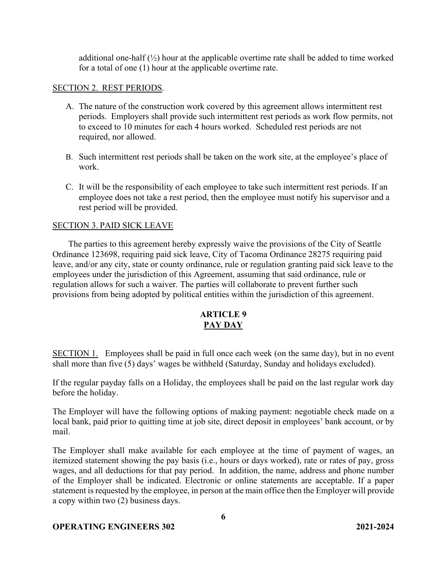additional one-half  $\binom{1}{2}$  hour at the applicable overtime rate shall be added to time worked for a total of one (1) hour at the applicable overtime rate.

## SECTION 2. REST PERIODS.

- A. The nature of the construction work covered by this agreement allows intermittent rest periods. Employers shall provide such intermittent rest periods as work flow permits, not to exceed to 10 minutes for each 4 hours worked. Scheduled rest periods are not required, nor allowed.
- B. Such intermittent rest periods shall be taken on the work site, at the employee's place of work.
- C. It will be the responsibility of each employee to take such intermittent rest periods. If an employee does not take a rest period, then the employee must notify his supervisor and a rest period will be provided.

## SECTION 3. PAID SICK LEAVE

The parties to this agreement hereby expressly waive the provisions of the City of Seattle Ordinance 123698, requiring paid sick leave, City of Tacoma Ordinance 28275 requiring paid leave, and/or any city, state or county ordinance, rule or regulation granting paid sick leave to the employees under the jurisdiction of this Agreement, assuming that said ordinance, rule or regulation allows for such a waiver. The parties will collaborate to prevent further such provisions from being adopted by political entities within the jurisdiction of this agreement.

## **ARTICLE 9 PAY DAY**

SECTION 1. Employees shall be paid in full once each week (on the same day), but in no event shall more than five (5) days' wages be withheld (Saturday, Sunday and holidays excluded).

If the regular payday falls on a Holiday, the employees shall be paid on the last regular work day before the holiday.

The Employer will have the following options of making payment: negotiable check made on a local bank, paid prior to quitting time at job site, direct deposit in employees' bank account, or by mail.

The Employer shall make available for each employee at the time of payment of wages, an itemized statement showing the pay basis (i.e., hours or days worked), rate or rates of pay, gross wages, and all deductions for that pay period. In addition, the name, address and phone number of the Employer shall be indicated. Electronic or online statements are acceptable. If a paper statement is requested by the employee, in person at the main office then the Employer will provide a copy within two (2) business days.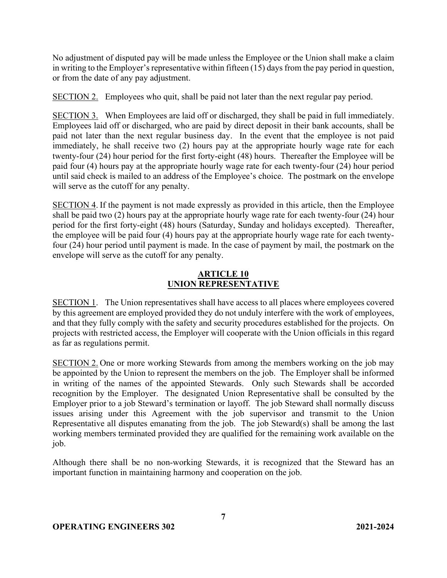No adjustment of disputed pay will be made unless the Employee or the Union shall make a claim in writing to the Employer's representative within fifteen  $(15)$  days from the pay period in question, or from the date of any pay adjustment.

SECTION 2. Employees who quit, shall be paid not later than the next regular pay period.

SECTION 3. When Employees are laid off or discharged, they shall be paid in full immediately. Employees laid off or discharged, who are paid by direct deposit in their bank accounts, shall be paid not later than the next regular business day.In the event that the employee is not paid immediately, he shall receive two (2) hours pay at the appropriate hourly wage rate for each twenty-four (24) hour period for the first forty-eight (48) hours. Thereafter the Employee will be paid four (4) hours pay at the appropriate hourly wage rate for each twenty-four (24) hour period until said check is mailed to an address of the Employee's choice. The postmark on the envelope will serve as the cutoff for any penalty.

SECTION 4. If the payment is not made expressly as provided in this article, then the Employee shall be paid two (2) hours pay at the appropriate hourly wage rate for each twenty-four (24) hour period for the first forty-eight (48) hours (Saturday, Sunday and holidays excepted). Thereafter, the employee will be paid four (4) hours pay at the appropriate hourly wage rate for each twentyfour (24) hour period until payment is made. In the case of payment by mail, the postmark on the envelope will serve as the cutoff for any penalty.

### **ARTICLE 10 UNION REPRESENTATIVE**

SECTION 1. The Union representatives shall have access to all places where employees covered by this agreement are employed provided they do not unduly interfere with the work of employees, and that they fully comply with the safety and security procedures established for the projects. On projects with restricted access, the Employer will cooperate with the Union officials in this regard as far as regulations permit.

SECTION 2. One or more working Stewards from among the members working on the job may be appointed by the Union to represent the members on the job. The Employer shall be informed in writing of the names of the appointed Stewards. Only such Stewards shall be accorded recognition by the Employer. The designated Union Representative shall be consulted by the Employer prior to a job Steward's termination or layoff. The job Steward shall normally discuss issues arising under this Agreement with the job supervisor and transmit to the Union Representative all disputes emanating from the job. The job Steward(s) shall be among the last working members terminated provided they are qualified for the remaining work available on the job.

Although there shall be no non-working Stewards, it is recognized that the Steward has an important function in maintaining harmony and cooperation on the job.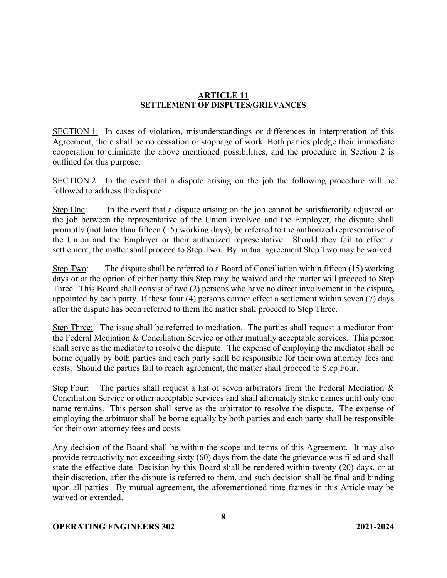### **ARTICLE 11 SETTLEMENT OF DISPUTES/GRIEVANCES**

SECTION 1. In cases of violation, misunderstandings or differences in interpretation of this Agreement, there shall be no cessation or stoppage of work. Both parties pledge their immediate cooperation to eliminate the above mentioned possibilities, and the procedure in Section 2 is outlined for this purpose.

SECTION 2. In the event that a dispute arising on the job the following procedure will be followed to address the dispute:

Step One: In the event that a dispute arising on the job cannot be satisfactorily adjusted on the job between the representative of the Union involved and the Employer, the dispute shall promptly (not later than fifteen (15) working days), be referred to the authorized representative of the Union and the Employer or their authorized representative. Should they fail to effect a settlement, the matter shall proceed to Step Two. By mutual agreement Step Two may be waived.

Step Two: The dispute shall be referred to a Board of Conciliation within fifteen  $(15)$  working days or at the option of either party this Step may be waived and the matter will proceed to Step Three. This Board shall consist of two (2) persons who have no direct involvement in the dispute**,** appointed by each party. If these four (4) persons cannot effect a settlement within seven (7) days after the dispute has been referred to them the matter shall proceed to Step Three.

Step Three: The issue shall be referred to mediation. The parties shall request a mediator from the Federal Mediation & Conciliation Service or other mutually acceptable services. This person shall serve as the mediator to resolve the dispute. The expense of employing the mediator shall be borne equally by both parties and each party shall be responsible for their own attorney fees and costs. Should the parties fail to reach agreement, the matter shall proceed to Step Four.

Step Four: The parties shall request a list of seven arbitrators from the Federal Mediation  $\&$ Conciliation Service or other acceptable services and shall alternately strike names until only one name remains. This person shall serve as the arbitrator to resolve the dispute. The expense of employing the arbitrator shall be borne equally by both parties and each party shall be responsible for their own attorney fees and costs.

Any decision of the Board shall be within the scope and terms of this Agreement. It may also provide retroactivity not exceeding sixty (60) days from the date the grievance was filed and shall state the effective date. Decision by this Board shall be rendered within twenty (20) days, or at their discretion, after the dispute is referred to them, and such decision shall be final and binding upon all parties. By mutual agreement, the aforementioned time frames in this Article may be waived or extended.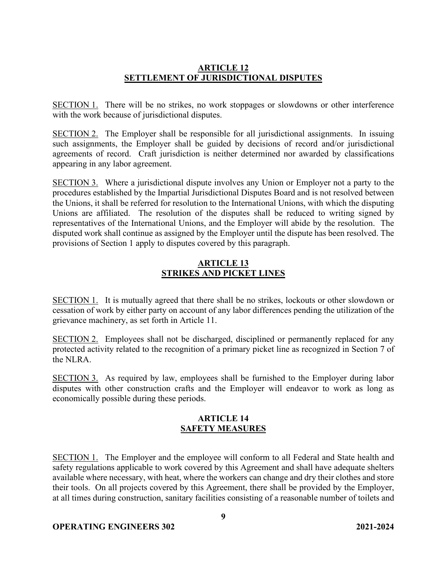## **ARTICLE 12 SETTLEMENT OF JURISDICTIONAL DISPUTES**

SECTION 1. There will be no strikes, no work stoppages or slowdowns or other interference with the work because of jurisdictional disputes.

SECTION 2. The Employer shall be responsible for all jurisdictional assignments. In issuing such assignments, the Employer shall be guided by decisions of record and/or jurisdictional agreements of record. Craft jurisdiction is neither determined nor awarded by classifications appearing in any labor agreement.

SECTION 3. Where a jurisdictional dispute involves any Union or Employer not a party to the procedures established by the Impartial Jurisdictional Disputes Board and is not resolved between the Unions, it shall be referred for resolution to the International Unions, with which the disputing Unions are affiliated. The resolution of the disputes shall be reduced to writing signed by representatives of the International Unions, and the Employer will abide by the resolution. The disputed work shall continue as assigned by the Employer until the dispute has been resolved. The provisions of Section 1 apply to disputes covered by this paragraph.

## **ARTICLE 13 STRIKES AND PICKET LINES**

SECTION 1. It is mutually agreed that there shall be no strikes, lockouts or other slowdown or cessation of work by either party on account of any labor differences pending the utilization of the grievance machinery, as set forth in Article 11.

SECTION 2. Employees shall not be discharged, disciplined or permanently replaced for any protected activity related to the recognition of a primary picket line as recognized in Section 7 of the NLRA.

SECTION 3. As required by law, employees shall be furnished to the Employer during labor disputes with other construction crafts and the Employer will endeavor to work as long as economically possible during these periods.

## **ARTICLE 14 SAFETY MEASURES**

SECTION 1. The Employer and the employee will conform to all Federal and State health and safety regulations applicable to work covered by this Agreement and shall have adequate shelters available where necessary, with heat, where the workers can change and dry their clothes and store their tools. On all projects covered by this Agreement, there shall be provided by the Employer, at all times during construction, sanitary facilities consisting of a reasonable number of toilets and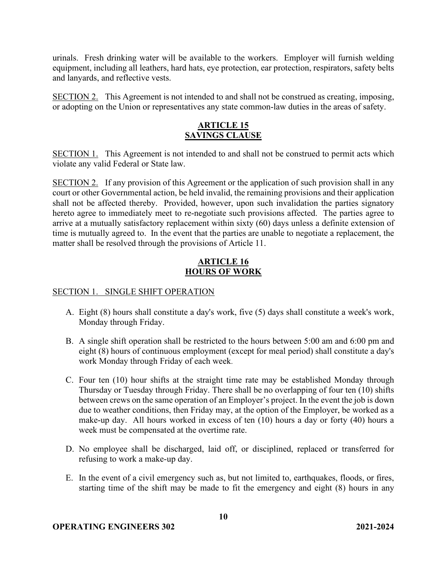urinals. Fresh drinking water will be available to the workers. Employer will furnish welding equipment, including all leathers, hard hats, eye protection, ear protection, respirators, safety belts and lanyards, and reflective vests.

SECTION 2. This Agreement is not intended to and shall not be construed as creating, imposing, or adopting on the Union or representatives any state common-law duties in the areas of safety.

## **ARTICLE 15 SAVINGS CLAUSE**

SECTION 1. This Agreement is not intended to and shall not be construed to permit acts which violate any valid Federal or State law.

SECTION 2. If any provision of this Agreement or the application of such provision shall in any court or other Governmental action, be held invalid, the remaining provisions and their application shall not be affected thereby. Provided, however, upon such invalidation the parties signatory hereto agree to immediately meet to re-negotiate such provisions affected. The parties agree to arrive at a mutually satisfactory replacement within sixty (60) days unless a definite extension of time is mutually agreed to. In the event that the parties are unable to negotiate a replacement, the matter shall be resolved through the provisions of Article 11.

## **ARTICLE 16 HOURS OF WORK**

### SECTION 1. SINGLE SHIFT OPERATION

- A. Eight (8) hours shall constitute a day's work, five (5) days shall constitute a week's work, Monday through Friday.
- B. A single shift operation shall be restricted to the hours between 5:00 am and 6:00 pm and eight (8) hours of continuous employment (except for meal period) shall constitute a day's work Monday through Friday of each week.
- C. Four ten (10) hour shifts at the straight time rate may be established Monday through Thursday or Tuesday through Friday. There shall be no overlapping of four ten (10) shifts between crews on the same operation of an Employer's project. In the event the job is down due to weather conditions, then Friday may, at the option of the Employer, be worked as a make-up day. All hours worked in excess of ten (10) hours a day or forty (40) hours a week must be compensated at the overtime rate.
- D. No employee shall be discharged, laid off, or disciplined, replaced or transferred for refusing to work a make-up day.
- E. In the event of a civil emergency such as, but not limited to, earthquakes, floods, or fires, starting time of the shift may be made to fit the emergency and eight (8) hours in any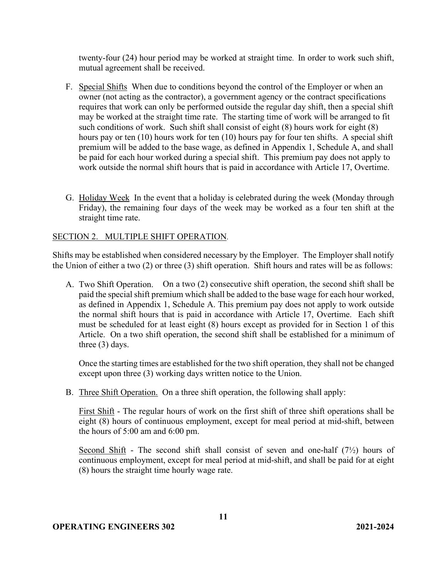twenty-four (24) hour period may be worked at straight time. In order to work such shift, mutual agreement shall be received.

- F. Special Shifts When due to conditions beyond the control of the Employer or when an owner (not acting as the contractor), a government agency or the contract specifications requires that work can only be performed outside the regular day shift, then a special shift may be worked at the straight time rate. The starting time of work will be arranged to fit such conditions of work. Such shift shall consist of eight (8) hours work for eight (8) hours pay or ten (10) hours work for ten (10) hours pay for four ten shifts. A special shift premium will be added to the base wage, as defined in Appendix 1, Schedule A, and shall be paid for each hour worked during a special shift. This premium pay does not apply to work outside the normal shift hours that is paid in accordance with Article 17, Overtime.
- G. Holiday Week In the event that a holiday is celebrated during the week (Monday through Friday), the remaining four days of the week may be worked as a four ten shift at the straight time rate.

#### SECTION 2. MULTIPLE SHIFT OPERATION.

Shifts may be established when considered necessary by the Employer. The Employer shall notify the Union of either a two (2) or three (3) shift operation. Shift hours and rates will be as follows:

A. Two Shift Operation. On a two (2) consecutive shift operation, the second shift shall be paid the special shift premium which shall be added to the base wage for each hour worked, as defined in Appendix 1, Schedule A. This premium pay does not apply to work outside the normal shift hours that is paid in accordance with Article 17, Overtime. Each shift must be scheduled for at least eight (8) hours except as provided for in Section 1 of this Article. On a two shift operation, the second shift shall be established for a minimum of three (3) days.

Once the starting times are established for the two shift operation, they shall not be changed except upon three (3) working days written notice to the Union.

B. Three Shift Operation. On a three shift operation, the following shall apply:

First Shift - The regular hours of work on the first shift of three shift operations shall be eight (8) hours of continuous employment, except for meal period at mid-shift, between the hours of 5:00 am and 6:00 pm.

Second Shift - The second shift shall consist of seven and one-half  $(7\frac{1}{2})$  hours of continuous employment, except for meal period at mid-shift, and shall be paid for at eight (8) hours the straight time hourly wage rate.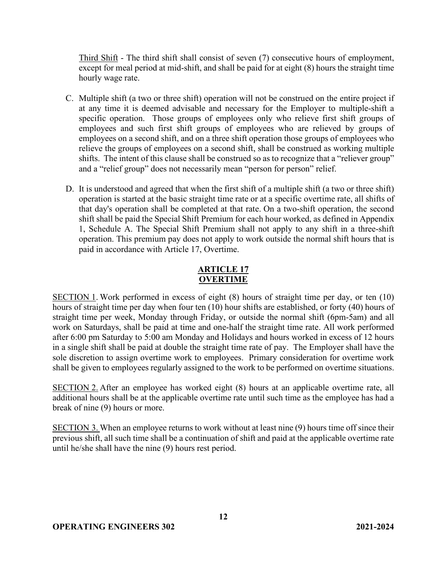Third Shift - The third shift shall consist of seven (7) consecutive hours of employment, except for meal period at mid-shift, and shall be paid for at eight (8) hours the straight time hourly wage rate.

- C. Multiple shift (a two or three shift) operation will not be construed on the entire project if at any time it is deemed advisable and necessary for the Employer to multiple-shift a specific operation. Those groups of employees only who relieve first shift groups of employees and such first shift groups of employees who are relieved by groups of employees on a second shift, and on a three shift operation those groups of employees who relieve the groups of employees on a second shift, shall be construed as working multiple shifts. The intent of this clause shall be construed so as to recognize that a "reliever group" and a "relief group" does not necessarily mean "person for person" relief.
- D. It is understood and agreed that when the first shift of a multiple shift (a two or three shift) operation is started at the basic straight time rate or at a specific overtime rate, all shifts of that day's operation shall be completed at that rate. On a two-shift operation, the second shift shall be paid the Special Shift Premium for each hour worked, as defined in Appendix 1, Schedule A. The Special Shift Premium shall not apply to any shift in a three-shift operation. This premium pay does not apply to work outside the normal shift hours that is paid in accordance with Article 17, Overtime.

# **ARTICLE 17 OVERTIME**

SECTION 1. Work performed in excess of eight (8) hours of straight time per day, or ten (10) hours of straight time per day when four ten (10) hour shifts are established, or forty (40) hours of straight time per week, Monday through Friday, or outside the normal shift (6pm-5am) and all work on Saturdays, shall be paid at time and one-half the straight time rate. All work performed after 6:00 pm Saturday to 5:00 am Monday and Holidays and hours worked in excess of 12 hours in a single shift shall be paid at double the straight time rate of pay. The Employer shall have the sole discretion to assign overtime work to employees. Primary consideration for overtime work shall be given to employees regularly assigned to the work to be performed on overtime situations.

SECTION 2. After an employee has worked eight (8) hours at an applicable overtime rate, all additional hours shall be at the applicable overtime rate until such time as the employee has had a break of nine (9) hours or more.

SECTION 3. When an employee returns to work without at least nine (9) hours time off since their previous shift, all such time shall be a continuation of shift and paid at the applicable overtime rate until he/she shall have the nine (9) hours rest period.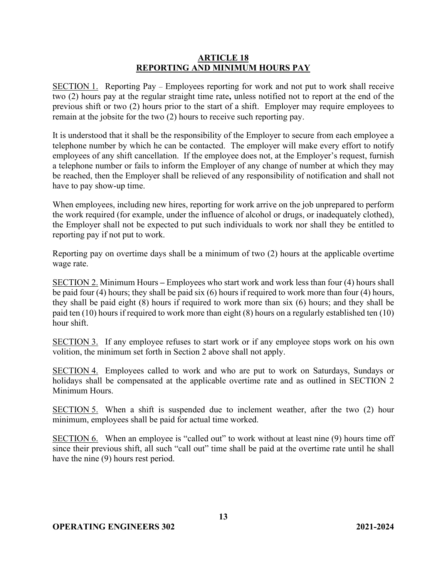### **ARTICLE 18 REPORTING AND MINIMUM HOURS PAY**

SECTION 1. Reporting Pay – Employees reporting for work and not put to work shall receive two (2) hours pay at the regular straight time rate**,** unless notified not to report at the end of the previous shift or two (2) hours prior to the start of a shift. Employer may require employees to remain at the jobsite for the two (2) hours to receive such reporting pay.

It is understood that it shall be the responsibility of the Employer to secure from each employee a telephone number by which he can be contacted. The employer will make every effort to notify employees of any shift cancellation. If the employee does not, at the Employer's request, furnish a telephone number or fails to inform the Employer of any change of number at which they may be reached, then the Employer shall be relieved of any responsibility of notification and shall not have to pay show-up time.

When employees, including new hires, reporting for work arrive on the job unprepared to perform the work required (for example, under the influence of alcohol or drugs, or inadequately clothed), the Employer shall not be expected to put such individuals to work nor shall they be entitled to reporting pay if not put to work.

Reporting pay on overtime days shall be a minimum of two (2) hours at the applicable overtime wage rate.

SECTION 2. Minimum Hours **–** Employees who start work and work less than four (4) hours shall be paid four (4) hours; they shall be paid six (6) hours if required to work more than four (4) hours, they shall be paid eight (8) hours if required to work more than six (6) hours; and they shall be paid ten (10) hours if required to work more than eight (8) hours on a regularly established ten (10) hour shift.

SECTION 3. If any employee refuses to start work or if any employee stops work on his own volition, the minimum set forth in Section 2 above shall not apply.

SECTION 4. Employees called to work and who are put to work on Saturdays, Sundays or holidays shall be compensated at the applicable overtime rate and as outlined in SECTION 2 Minimum Hours.

SECTION 5. When a shift is suspended due to inclement weather, after the two (2) hour minimum, employees shall be paid for actual time worked.

SECTION 6. When an employee is "called out" to work without at least nine (9) hours time off since their previous shift, all such "call out" time shall be paid at the overtime rate until he shall have the nine (9) hours rest period.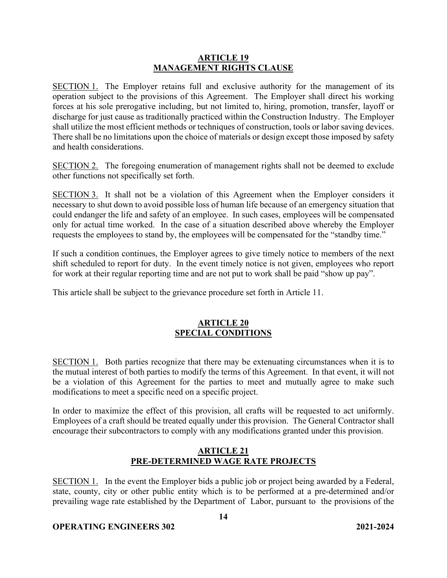#### **ARTICLE 19 MANAGEMENT RIGHTS CLAUSE**

SECTION 1. The Employer retains full and exclusive authority for the management of its operation subject to the provisions of this Agreement. The Employer shall direct his working forces at his sole prerogative including, but not limited to, hiring, promotion, transfer, layoff or discharge for just cause as traditionally practiced within the Construction Industry. The Employer shall utilize the most efficient methods or techniques of construction, tools or labor saving devices. There shall be no limitations upon the choice of materials or design except those imposed by safety and health considerations.

SECTION 2. The foregoing enumeration of management rights shall not be deemed to exclude other functions not specifically set forth.

SECTION 3. It shall not be a violation of this Agreement when the Employer considers it necessary to shut down to avoid possible loss of human life because of an emergency situation that could endanger the life and safety of an employee. In such cases, employees will be compensated only for actual time worked. In the case of a situation described above whereby the Employer requests the employees to stand by, the employees will be compensated for the "standby time."

If such a condition continues, the Employer agrees to give timely notice to members of the next shift scheduled to report for duty. In the event timely notice is not given, employees who report for work at their regular reporting time and are not put to work shall be paid "show up pay".

This article shall be subject to the grievance procedure set forth in Article 11.

## **ARTICLE 20 SPECIAL CONDITIONS**

SECTION 1. Both parties recognize that there may be extenuating circumstances when it is to the mutual interest of both parties to modify the terms of this Agreement. In that event, it will not be a violation of this Agreement for the parties to meet and mutually agree to make such modifications to meet a specific need on a specific project.

In order to maximize the effect of this provision, all crafts will be requested to act uniformly. Employees of a craft should be treated equally under this provision. The General Contractor shall encourage their subcontractors to comply with any modifications granted under this provision.

## **ARTICLE 21 PRE-DETERMINED WAGE RATE PROJECTS**

SECTION 1. In the event the Employer bids a public job or project being awarded by a Federal, state, county, city or other public entity which is to be performed at a pre-determined and/or prevailing wage rate established by the Department of Labor, pursuant to the provisions of the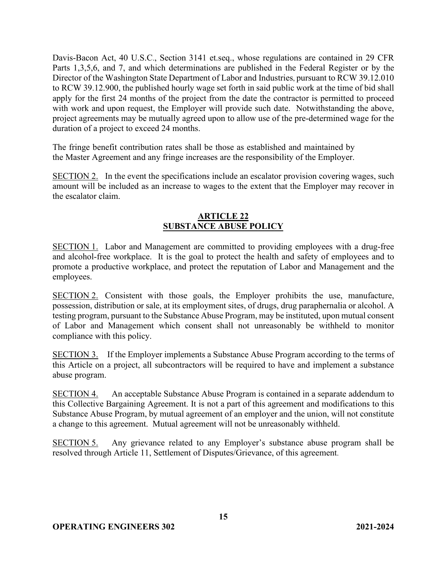Davis-Bacon Act, 40 U.S.C., Section 3141 et.seq., whose regulations are contained in 29 CFR Parts 1,3,5,6, and 7, and which determinations are published in the Federal Register or by the Director of the Washington State Department of Labor and Industries, pursuant to RCW 39.12.010 to RCW 39.12.900, the published hourly wage set forth in said public work at the time of bid shall apply for the first 24 months of the project from the date the contractor is permitted to proceed with work and upon request, the Employer will provide such date. Notwithstanding the above, project agreements may be mutually agreed upon to allow use of the pre-determined wage for the duration of a project to exceed 24 months.

The fringe benefit contribution rates shall be those as established and maintained by the Master Agreement and any fringe increases are the responsibility of the Employer.

SECTION 2. In the event the specifications include an escalator provision covering wages, such amount will be included as an increase to wages to the extent that the Employer may recover in the escalator claim.

## **ARTICLE 22 SUBSTANCE ABUSE POLICY**

SECTION 1. Labor and Management are committed to providing employees with a drug-free and alcohol-free workplace. It is the goal to protect the health and safety of employees and to promote a productive workplace, and protect the reputation of Labor and Management and the employees.

SECTION 2. Consistent with those goals, the Employer prohibits the use, manufacture, possession, distribution or sale, at its employment sites, of drugs, drug paraphernalia or alcohol. A testing program, pursuant to the Substance Abuse Program, may be instituted, upon mutual consent of Labor and Management which consent shall not unreasonably be withheld to monitor compliance with this policy.

SECTION 3. If the Employer implements a Substance Abuse Program according to the terms of this Article on a project, all subcontractors will be required to have and implement a substance abuse program.

SECTION 4. An acceptable Substance Abuse Program is contained in a separate addendum to this Collective Bargaining Agreement. It is not a part of this agreement and modifications to this Substance Abuse Program, by mutual agreement of an employer and the union, will not constitute a change to this agreement. Mutual agreement will not be unreasonably withheld.

SECTION 5. Any grievance related to any Employer's substance abuse program shall be resolved through Article 11, Settlement of Disputes/Grievance, of this agreement.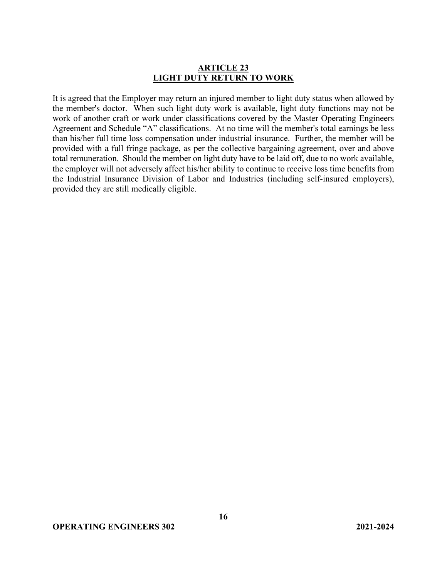### **ARTICLE 23 LIGHT DUTY RETURN TO WORK**

It is agreed that the Employer may return an injured member to light duty status when allowed by the member's doctor. When such light duty work is available, light duty functions may not be work of another craft or work under classifications covered by the Master Operating Engineers Agreement and Schedule "A" classifications. At no time will the member's total earnings be less than his/her full time loss compensation under industrial insurance. Further, the member will be provided with a full fringe package, as per the collective bargaining agreement, over and above total remuneration. Should the member on light duty have to be laid off, due to no work available, the employer will not adversely affect his/her ability to continue to receive loss time benefits from the Industrial Insurance Division of Labor and Industries (including self-insured employers), provided they are still medically eligible.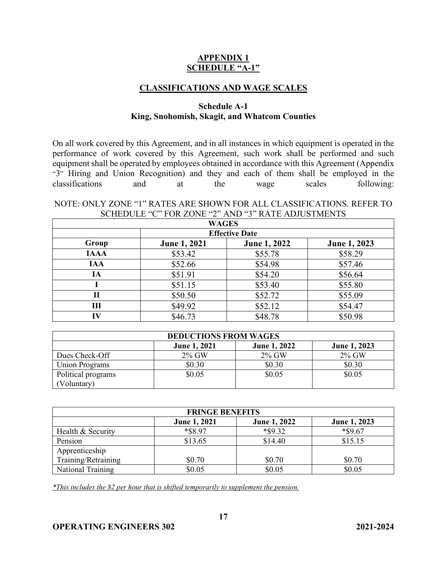## **APPENDIX 1 SCHEDULE "A-1"**

#### **CLASSIFICATIONS AND WAGE SCALES**

#### **Schedule A-1 King, Snohomish, Skagit, and Whatcom Counties**

On all work covered by this Agreement, and in all instances in which equipment is operated in the performance of work covered by this Agreement, such work shall be performed and such equipment shall be operated by employees obtained in accordance with this Agreement (Appendix "3" Hiring and Union Recognition) and they and each of them shall be employed in the classifications and at the wage scales following:

#### NOTE: ONLY ZONE "1" RATES ARE SHOWN FOR ALL CLASSIFICATIONS. REFER TO SCHEDULE "C" FOR ZONE "2" AND "3" RATE ADJUSTMENTS

| <b>WAGES</b>          |                     |              |              |  |
|-----------------------|---------------------|--------------|--------------|--|
| <b>Effective Date</b> |                     |              |              |  |
| Group                 | <b>June 1, 2021</b> | June 1, 2022 | June 1, 2023 |  |
| <b>IAAA</b>           | \$53.42             | \$55.78      | \$58.29      |  |
| <b>IAA</b>            | \$52.66             | \$54.98      | \$57.46      |  |
| IA                    | \$51.91             | \$54.20      | \$56.64      |  |
|                       | \$51.15             | \$53.40      | \$55.80      |  |
| П                     | \$50.50             | \$52.72      | \$55.09      |  |
| Ш                     | \$49.92             | \$52.12      | \$54.47      |  |
| IV                    | \$46.73             | \$48.78      | \$50.98      |  |

| <b>DEDUCTIONS FROM WAGES</b> |                     |                     |              |
|------------------------------|---------------------|---------------------|--------------|
|                              | <b>June 1, 2021</b> | <b>June 1, 2022</b> | June 1, 2023 |
| Dues Check-Off               | 2% GW               | 2% GW               | 2% GW        |
| <b>Union Programs</b>        | \$0.30              | \$0.30              | \$0.30       |
| Political programs           | \$0.05              | \$0.05              | \$0.05       |
| Voluntary)                   |                     |                     |              |

| <b>FRINGE BENEFITS</b> |                     |                     |              |
|------------------------|---------------------|---------------------|--------------|
|                        | <b>June 1, 2021</b> | <b>June 1, 2022</b> | June 1, 2023 |
| Health & Security      | *\$8.97             | *\$9.32             | *\$9.67      |
| Pension                | \$13.65             | \$14.40             | \$15.15      |
| Apprenticeship         |                     |                     |              |
| Training/Retraining    | \$0.70              | \$0.70              | \$0.70       |
| National Training      | \$0.05              | \$0.05              | \$0.05       |

*\*This includes the \$2 per hour that is shifted temporarily to supplement the pension.*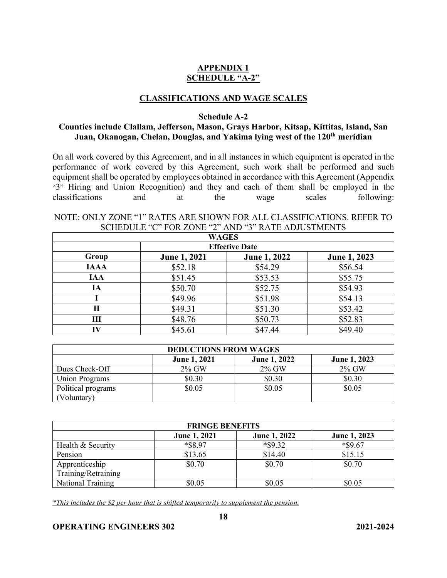## **APPENDIX 1 SCHEDULE "A-2"**

### **CLASSIFICATIONS AND WAGE SCALES**

**Schedule A-2** 

#### **Counties include Clallam, Jefferson, Mason, Grays Harbor, Kitsap, Kittitas, Island, San Juan, Okanogan, Chelan, Douglas, and Yakima lying west of the 120th meridian**

On all work covered by this Agreement, and in all instances in which equipment is operated in the performance of work covered by this Agreement, such work shall be performed and such equipment shall be operated by employees obtained in accordance with this Agreement (Appendix "3" Hiring and Union Recognition) and they and each of them shall be employed in the classifications and at the wage scales following:

## NOTE: ONLY ZONE "1" RATES ARE SHOWN FOR ALL CLASSIFICATIONS. REFER TO SCHEDULE "C" FOR ZONE "2" AND "3" RATE ADJUSTMENTS

| <b>WAGES</b> |                       |              |              |  |  |
|--------------|-----------------------|--------------|--------------|--|--|
|              | <b>Effective Date</b> |              |              |  |  |
| Group        | <b>June 1, 2021</b>   | June 1, 2022 | June 1, 2023 |  |  |
| <b>IAAA</b>  | \$52.18               | \$54.29      | \$56.54      |  |  |
| <b>IAA</b>   | \$51.45               | \$53.53      | \$55.75      |  |  |
| IA           | \$50.70               | \$52.75      | \$54.93      |  |  |
|              | \$49.96               | \$51.98      | \$54.13      |  |  |
| П            | \$49.31               | \$51.30      | \$53.42      |  |  |
| Ш            | \$48.76               | \$50.73      | \$52.83      |  |  |
| IV           | \$45.61               | \$47.44      | \$49.40      |  |  |

| <b>DEDUCTIONS FROM WAGES</b> |                     |                     |                     |
|------------------------------|---------------------|---------------------|---------------------|
|                              | <b>June 1, 2021</b> | <b>June 1, 2022</b> | <b>June 1, 2023</b> |
| Dues Check-Off               | 2% GW               | $2\%$ GW            | $2\%$ GW            |
| Union Programs               | \$0.30              | \$0.30              | \$0.30              |
| Political programs           | \$0.05              | \$0.05              | \$0.05              |
| Voluntary)                   |                     |                     |                     |

| <b>FRINGE BENEFITS</b> |                     |                     |              |
|------------------------|---------------------|---------------------|--------------|
|                        | <b>June 1, 2021</b> | <b>June 1, 2022</b> | June 1, 2023 |
| Health & Security      | *\$8.97             | *\$9.32             | $*$ \$9.67   |
| Pension                | \$13.65             | \$14.40             | \$15.15      |
| Apprenticeship         | \$0.70              | \$0.70              | \$0.70       |
| Training/Retraining    |                     |                     |              |
| National Training      | \$0.05              | \$0.05              | \$0.05       |

*\*This includes the \$2 per hour that is shifted temporarily to supplement the pension.*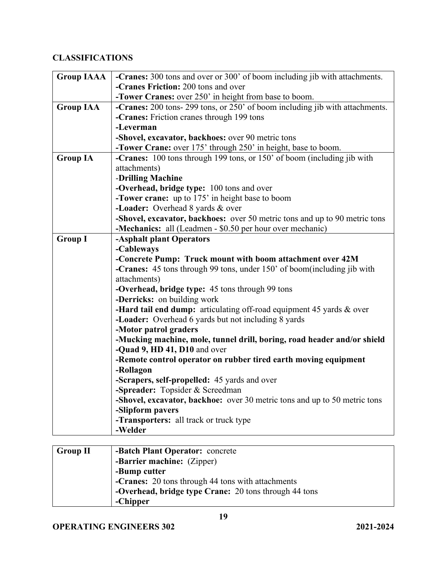# **CLASSIFICATIONS**

| <b>Group IAAA</b> | -Cranes: 300 tons and over or 300' of boom including jib with attachments.   |
|-------------------|------------------------------------------------------------------------------|
|                   | -Cranes Friction: 200 tons and over                                          |
|                   | -Tower Cranes: over 250' in height from base to boom.                        |
| <b>Group IAA</b>  | -Cranes: 200 tons- 299 tons, or 250' of boom including jib with attachments. |
|                   | -Cranes: Friction cranes through 199 tons                                    |
|                   | -Leverman                                                                    |
|                   | -Shovel, excavator, backhoes: over 90 metric tons                            |
|                   | -Tower Crane: over 175' through 250' in height, base to boom.                |
| <b>Group IA</b>   | -Cranes: 100 tons through 199 tons, or 150' of boom (including jib with      |
|                   | attachments)                                                                 |
|                   | -Drilling Machine                                                            |
|                   | -Overhead, bridge type: 100 tons and over                                    |
|                   | -Tower crane: up to 175' in height base to boom                              |
|                   | -Loader: Overhead 8 yards & over                                             |
|                   | -Shovel, excavator, backhoes: over 50 metric tons and up to 90 metric tons   |
|                   | -Mechanics: all (Leadmen - \$0.50 per hour over mechanic)                    |
| <b>Group I</b>    | -Asphalt plant Operators                                                     |
|                   | -Cableways                                                                   |
|                   | -Concrete Pump: Truck mount with boom attachment over 42M                    |
|                   | -Cranes: 45 tons through 99 tons, under 150' of boom(including jib with      |
|                   | attachments)                                                                 |
|                   | -Overhead, bridge type: 45 tons through 99 tons                              |
|                   | -Derricks: on building work                                                  |
|                   | -Hard tail end dump: articulating off-road equipment 45 yards & over         |
|                   | -Loader: Overhead 6 yards but not including 8 yards                          |
|                   | -Motor patrol graders                                                        |
|                   | -Mucking machine, mole, tunnel drill, boring, road header and/or shield      |
|                   | -Quad 9, HD 41, D10 and over                                                 |
|                   | -Remote control operator on rubber tired earth moving equipment              |
|                   | -Rollagon                                                                    |
|                   | -Scrapers, self-propelled: 45 yards and over                                 |
|                   | -Spreader: Topsider & Screedman                                              |
|                   | -Shovel, excavator, backhoe: over 30 metric tons and up to 50 metric tons    |
|                   | -Slipform pavers                                                             |
|                   | -Transporters: all track or truck type                                       |
|                   | -Welder                                                                      |
|                   |                                                                              |

| Group II | -Batch Plant Operator: concrete                       |
|----------|-------------------------------------------------------|
|          | -Barrier machine: (Zipper)                            |
|          | -Bump cutter                                          |
|          | -Cranes: 20 tons through 44 tons with attachments     |
|          | -Overhead, bridge type Crane: 20 tons through 44 tons |
|          | -Chipper                                              |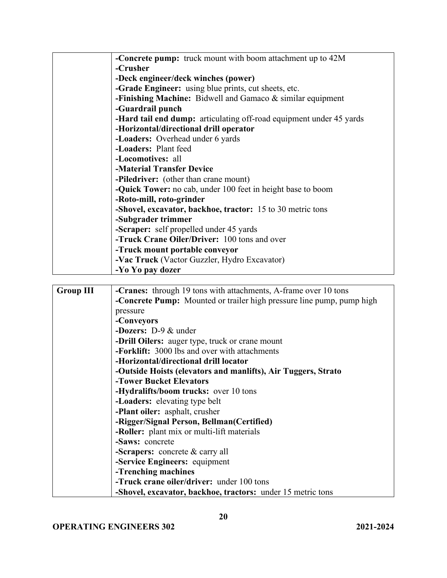|                  | -Concrete pump: truck mount with boom attachment up to 42M                   |  |  |  |
|------------------|------------------------------------------------------------------------------|--|--|--|
|                  | -Crusher                                                                     |  |  |  |
|                  | -Deck engineer/deck winches (power)                                          |  |  |  |
|                  | <b>-Grade Engineer:</b> using blue prints, cut sheets, etc.                  |  |  |  |
|                  | -Finishing Machine: Bidwell and Gamaco & similar equipment                   |  |  |  |
|                  | -Guardrail punch                                                             |  |  |  |
|                  | -Hard tail end dump: articulating off-road equipment under 45 yards          |  |  |  |
|                  | -Horizontal/directional drill operator                                       |  |  |  |
|                  | -Loaders: Overhead under 6 yards                                             |  |  |  |
|                  | -Loaders: Plant feed                                                         |  |  |  |
|                  | -Locomotives: all                                                            |  |  |  |
|                  | -Material Transfer Device                                                    |  |  |  |
|                  | -Piledriver: (other than crane mount)                                        |  |  |  |
|                  | -Quick Tower: no cab, under 100 feet in height base to boom                  |  |  |  |
|                  | -Roto-mill, roto-grinder                                                     |  |  |  |
|                  | -Shovel, excavator, backhoe, tractor: 15 to 30 metric tons                   |  |  |  |
|                  | -Subgrader trimmer                                                           |  |  |  |
|                  | -Scraper: self propelled under 45 yards                                      |  |  |  |
|                  | -Truck Crane Oiler/Driver: 100 tons and over                                 |  |  |  |
|                  | -Truck mount portable conveyor                                               |  |  |  |
|                  | -Vac Truck (Vactor Guzzler, Hydro Excavator)                                 |  |  |  |
|                  | -Yo Yo pay dozer                                                             |  |  |  |
|                  |                                                                              |  |  |  |
| <b>Group III</b> | -Cranes: through 19 tons with attachments, A-frame over 10 tons              |  |  |  |
|                  | <b>-Concrete Pump:</b> Mounted or trailer high pressure line pump, pump high |  |  |  |
|                  | pressure                                                                     |  |  |  |
|                  | -Conveyors                                                                   |  |  |  |
|                  | -Dozers: $D-9$ & under                                                       |  |  |  |
|                  | -Drill Oilers: auger type, truck or crane mount                              |  |  |  |
|                  | -Forklift: 3000 lbs and over with attachments                                |  |  |  |
|                  | -Horizontal/directional drill locator                                        |  |  |  |

| -Drill Oilers: auger type, truck or crane mount               |
|---------------------------------------------------------------|
| -Forklift: 3000 lbs and over with attachments                 |
| -Horizontal/directional drill locator                         |
| -Outside Hoists (elevators and manlifts), Air Tuggers, Strato |
| -Tower Bucket Elevators                                       |
| -Hydralifts/boom trucks: over 10 tons                         |
| -Loaders: elevating type belt                                 |
| -Plant oiler: asphalt, crusher                                |
| -Rigger/Signal Person, Bellman(Certified)                     |
| -Roller: plant mix or multi-lift materials                    |
| -Saws: concrete                                               |
| -Scrapers: concrete $&$ carry all                             |
| -Service Engineers: equipment                                 |
| -Trenching machines                                           |
| -Truck crane oiler/driver: under 100 tons                     |
| -Shovel, excavator, backhoe, tractors: under 15 metric tons   |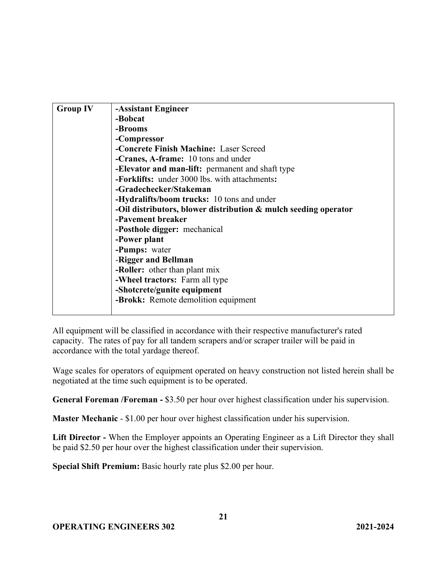| <b>Group IV</b> | -Assistant Engineer                                                |
|-----------------|--------------------------------------------------------------------|
|                 | -Bobcat                                                            |
|                 | -Brooms                                                            |
|                 | -Compressor                                                        |
|                 | -Concrete Finish Machine: Laser Screed                             |
|                 | <b>-Cranes, A-frame:</b> 10 tons and under                         |
|                 | -Elevator and man-lift: permanent and shaft type                   |
|                 | -Forklifts: under 3000 lbs. with attachments:                      |
|                 | -Gradechecker/Stakeman                                             |
|                 | -Hydralifts/boom trucks: 10 tons and under                         |
|                 | -Oil distributors, blower distribution $\&$ mulch seeding operator |
|                 | -Pavement breaker                                                  |
|                 | -Posthole digger: mechanical                                       |
|                 | -Power plant                                                       |
|                 | -Pumps: water                                                      |
|                 | -Rigger and Bellman                                                |
|                 | -Roller: other than plant mix                                      |
|                 | -Wheel tractors: Farm all type                                     |
|                 | -Shotcrete/gunite equipment                                        |
|                 | -Brokk: Remote demolition equipment                                |
|                 |                                                                    |

All equipment will be classified in accordance with their respective manufacturer's rated capacity. The rates of pay for all tandem scrapers and/or scraper trailer will be paid in accordance with the total yardage thereof.

Wage scales for operators of equipment operated on heavy construction not listed herein shall be negotiated at the time such equipment is to be operated.

**General Foreman /Foreman -** \$3.50 per hour over highest classification under his supervision.

**Master Mechanic** - \$1.00 per hour over highest classification under his supervision.

**Lift Director -** When the Employer appoints an Operating Engineer as a Lift Director they shall be paid \$2.50 per hour over the highest classification under their supervision.

**Special Shift Premium:** Basic hourly rate plus \$2.00 per hour.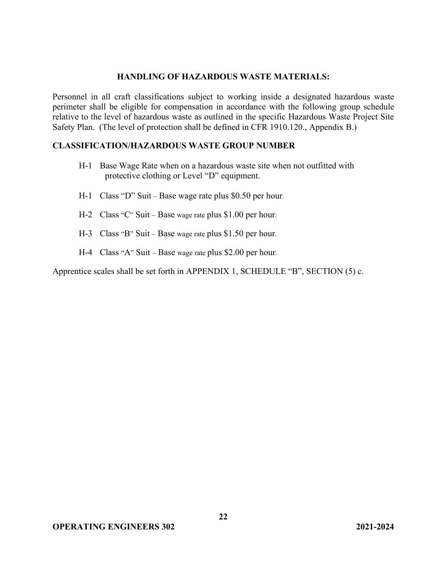#### **HANDLING OF HAZARDOUS WASTE MATERIALS:**

Personnel in all craft classifications subject to working inside a designated hazardous waste perimeter shall be eligible for compensation in accordance with the following group schedule relative to the level of hazardous waste as outlined in the specific Hazardous Waste Project Site Safety Plan. (The level of protection shall be defined in CFR 1910.120., Appendix B.)

#### **CLASSIFICATION/HAZARDOUS WASTE GROUP NUMBER**

- H-1 Base Wage Rate when on a hazardous waste site when not outfitted with protective clothing or Level "D" equipment.
- H-1 Class "D" Suit Base wage rate plus \$0.50 per hour.
- H-2 Class "C" Suit Base wage rate plus \$1.00 per hour.
- H-3 Class "B" Suit Base wage rate plus \$1.50 per hour.
- H-4 Class "A" Suit Base wage rate plus \$2.00 per hour.

Apprentice scales shall be set forth in APPENDIX 1, SCHEDULE "B", SECTION (5) c.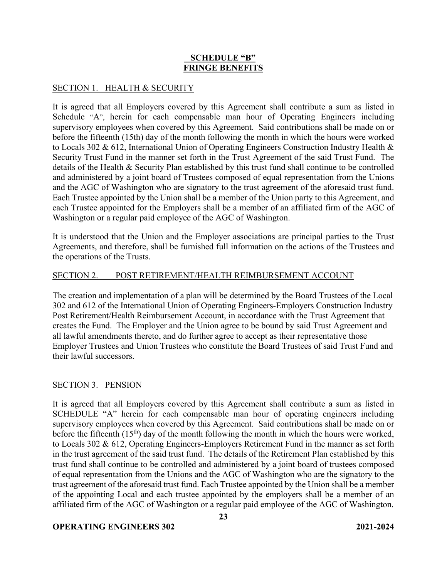### **SCHEDULE "B" FRINGE BENEFITS**

### SECTION 1. HEALTH & SECURITY

It is agreed that all Employers covered by this Agreement shall contribute a sum as listed in Schedule "A", herein for each compensable man hour of Operating Engineers including supervisory employees when covered by this Agreement. Said contributions shall be made on or before the fifteenth (15th) day of the month following the month in which the hours were worked to Locals 302 & 612, International Union of Operating Engineers Construction Industry Health & Security Trust Fund in the manner set forth in the Trust Agreement of the said Trust Fund. The details of the Health & Security Plan established by this trust fund shall continue to be controlled and administered by a joint board of Trustees composed of equal representation from the Unions and the AGC of Washington who are signatory to the trust agreement of the aforesaid trust fund. Each Trustee appointed by the Union shall be a member of the Union party to this Agreement, and each Trustee appointed for the Employers shall be a member of an affiliated firm of the AGC of Washington or a regular paid employee of the AGC of Washington.

It is understood that the Union and the Employer associations are principal parties to the Trust Agreements, and therefore, shall be furnished full information on the actions of the Trustees and the operations of the Trusts.

## SECTION 2. POST RETIREMENT/HEALTH REIMBURSEMENT ACCOUNT

The creation and implementation of a plan will be determined by the Board Trustees of the Local 302 and 612 of the International Union of Operating Engineers-Employers Construction Industry Post Retirement/Health Reimbursement Account, in accordance with the Trust Agreement that creates the Fund. The Employer and the Union agree to be bound by said Trust Agreement and all lawful amendments thereto, and do further agree to accept as their representative those Employer Trustees and Union Trustees who constitute the Board Trustees of said Trust Fund and their lawful successors.

#### SECTION 3. PENSION

It is agreed that all Employers covered by this Agreement shall contribute a sum as listed in SCHEDULE "A" herein for each compensable man hour of operating engineers including supervisory employees when covered by this Agreement. Said contributions shall be made on or before the fifteenth  $(15<sup>th</sup>)$  day of the month following the month in which the hours were worked, to Locals 302 & 612, Operating Engineers-Employers Retirement Fund in the manner as set forth in the trust agreement of the said trust fund. The details of the Retirement Plan established by this trust fund shall continue to be controlled and administered by a joint board of trustees composed of equal representation from the Unions and the AGC of Washington who are the signatory to the trust agreement of the aforesaid trust fund. Each Trustee appointed by the Union shall be a member of the appointing Local and each trustee appointed by the employers shall be a member of an affiliated firm of the AGC of Washington or a regular paid employee of the AGC of Washington.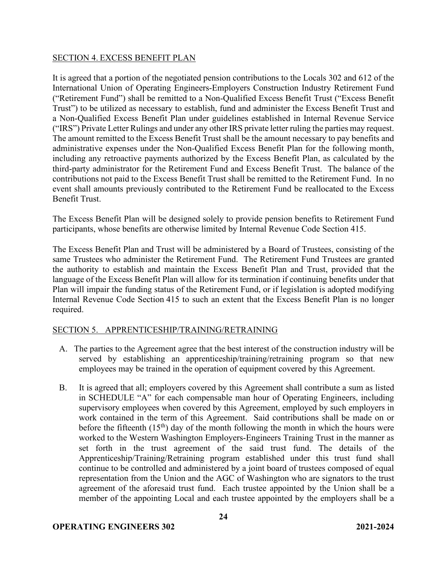#### SECTION 4. EXCESS BENEFIT PLAN

It is agreed that a portion of the negotiated pension contributions to the Locals 302 and 612 of the International Union of Operating Engineers-Employers Construction Industry Retirement Fund ("Retirement Fund") shall be remitted to a Non-Qualified Excess Benefit Trust ("Excess Benefit Trust") to be utilized as necessary to establish, fund and administer the Excess Benefit Trust and a Non-Qualified Excess Benefit Plan under guidelines established in Internal Revenue Service ("IRS") Private Letter Rulings and under any other IRS private letter ruling the parties may request. The amount remitted to the Excess Benefit Trust shall be the amount necessary to pay benefits and administrative expenses under the Non-Qualified Excess Benefit Plan for the following month, including any retroactive payments authorized by the Excess Benefit Plan, as calculated by the third-party administrator for the Retirement Fund and Excess Benefit Trust. The balance of the contributions not paid to the Excess Benefit Trust shall be remitted to the Retirement Fund. In no event shall amounts previously contributed to the Retirement Fund be reallocated to the Excess Benefit Trust.

The Excess Benefit Plan will be designed solely to provide pension benefits to Retirement Fund participants, whose benefits are otherwise limited by Internal Revenue Code Section 415.

The Excess Benefit Plan and Trust will be administered by a Board of Trustees, consisting of the same Trustees who administer the Retirement Fund. The Retirement Fund Trustees are granted the authority to establish and maintain the Excess Benefit Plan and Trust, provided that the language of the Excess Benefit Plan will allow for its termination if continuing benefits under that Plan will impair the funding status of the Retirement Fund, or if legislation is adopted modifying Internal Revenue Code Section 415 to such an extent that the Excess Benefit Plan is no longer required.

#### SECTION 5. APPRENTICESHIP/TRAINING/RETRAINING

- A. The parties to the Agreement agree that the best interest of the construction industry will be served by establishing an apprenticeship/training/retraining program so that new employees may be trained in the operation of equipment covered by this Agreement.
- B. It is agreed that all; employers covered by this Agreement shall contribute a sum as listed in SCHEDULE "A" for each compensable man hour of Operating Engineers, including supervisory employees when covered by this Agreement, employed by such employers in work contained in the term of this Agreement. Said contributions shall be made on or before the fifteenth  $(15<sup>th</sup>)$  day of the month following the month in which the hours were worked to the Western Washington Employers-Engineers Training Trust in the manner as set forth in the trust agreement of the said trust fund. The details of the Apprenticeship/Training/Retraining program established under this trust fund shall continue to be controlled and administered by a joint board of trustees composed of equal representation from the Union and the AGC of Washington who are signators to the trust agreement of the aforesaid trust fund. Each trustee appointed by the Union shall be a member of the appointing Local and each trustee appointed by the employers shall be a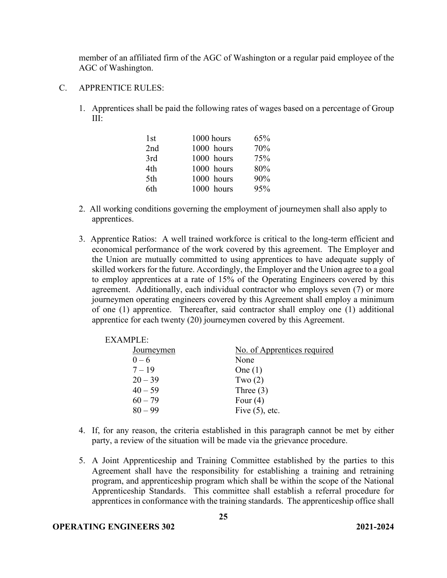member of an affiliated firm of the AGC of Washington or a regular paid employee of the AGC of Washington.

- C. APPRENTICE RULES:
	- 1. Apprentices shall be paid the following rates of wages based on a percentage of Group III:

| 1st | 1000 hours | 65% |
|-----|------------|-----|
| 2nd | 1000 hours | 70% |
| 3rd | 1000 hours | 75% |
| 4th | 1000 hours | 80% |
| 5th | 1000 hours | 90% |
| 6th | 1000 hours | 95% |

- 2. All working conditions governing the employment of journeymen shall also apply to apprentices.
- 3. Apprentice Ratios: A well trained workforce is critical to the long-term efficient and economical performance of the work covered by this agreement. The Employer and the Union are mutually committed to using apprentices to have adequate supply of skilled workers for the future. Accordingly, the Employer and the Union agree to a goal to employ apprentices at a rate of 15% of the Operating Engineers covered by this agreement. Additionally, each individual contractor who employs seven (7) or more journeymen operating engineers covered by this Agreement shall employ a minimum of one (1) apprentice. Thereafter, said contractor shall employ one (1) additional apprentice for each twenty (20) journeymen covered by this Agreement.

| <b>EXAMPLE:</b>   |                             |
|-------------------|-----------------------------|
| <b>Journeymen</b> | No. of Apprentices required |
| $0 - 6$           | None                        |
| $7 - 19$          | One $(1)$                   |
| $20 - 39$         | Two $(2)$                   |
| $40 - 59$         | Three $(3)$                 |
| $60 - 79$         | Four $(4)$                  |
| $80 - 99$         | Five $(5)$ , etc.           |

- 4. If, for any reason, the criteria established in this paragraph cannot be met by either party, a review of the situation will be made via the grievance procedure.
- 5. A Joint Apprenticeship and Training Committee established by the parties to this Agreement shall have the responsibility for establishing a training and retraining program, and apprenticeship program which shall be within the scope of the National Apprenticeship Standards. This committee shall establish a referral procedure for apprentices in conformance with the training standards. The apprenticeship office shall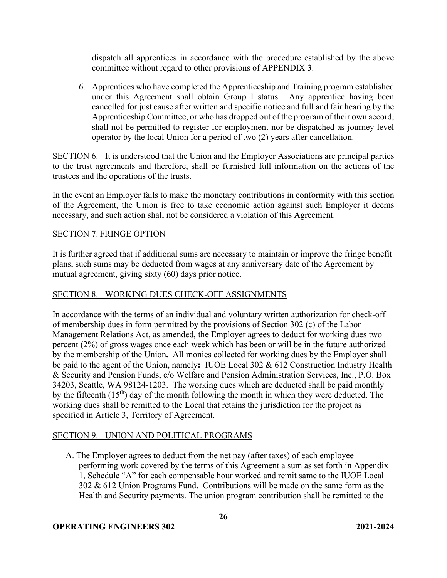dispatch all apprentices in accordance with the procedure established by the above committee without regard to other provisions of APPENDIX 3.

6. Apprentices who have completed the Apprenticeship and Training program established under this Agreement shall obtain Group I status. Any apprentice having been cancelled for just cause after written and specific notice and full and fair hearing by the Apprenticeship Committee, or who has dropped out of the program of their own accord, shall not be permitted to register for employment nor be dispatched as journey level operator by the local Union for a period of two (2) years after cancellation.

SECTION 6. It is understood that the Union and the Employer Associations are principal parties to the trust agreements and therefore, shall be furnished full information on the actions of the trustees and the operations of the trusts.

In the event an Employer fails to make the monetary contributions in conformity with this section of the Agreement, the Union is free to take economic action against such Employer it deems necessary, and such action shall not be considered a violation of this Agreement.

#### SECTION 7. FRINGE OPTION

It is further agreed that if additional sums are necessary to maintain or improve the fringe benefit plans, such sums may be deducted from wages at any anniversary date of the Agreement by mutual agreement, giving sixty (60) days prior notice.

## SECTION 8. WORKING DUES CHECK-OFF ASSIGNMENTS

In accordance with the terms of an individual and voluntary written authorization for check-off of membership dues in form permitted by the provisions of Section 302 (c) of the Labor Management Relations Act, as amended, the Employer agrees to deduct for working dues two percent (2%) of gross wages once each week which has been or will be in the future authorized by the membership of the Union**.** All monies collected for working dues by the Employer shall be paid to the agent of the Union, namely**:** IUOE Local 302 & 612 Construction Industry Health & Security and Pension Funds, c/o Welfare and Pension Administration Services, Inc., P.O. Box 34203, Seattle, WA 98124-1203. The working dues which are deducted shall be paid monthly by the fifteenth  $(15<sup>th</sup>)$  day of the month following the month in which they were deducted. The working dues shall be remitted to the Local that retains the jurisdiction for the project as specified in Article 3, Territory of Agreement.

#### SECTION 9. UNION AND POLITICAL PROGRAMS

A. The Employer agrees to deduct from the net pay (after taxes) of each employee performing work covered by the terms of this Agreement a sum as set forth in Appendix 1, Schedule "A" for each compensable hour worked and remit same to the IUOE Local 302 & 612 Union Programs Fund. Contributions will be made on the same form as the Health and Security payments. The union program contribution shall be remitted to the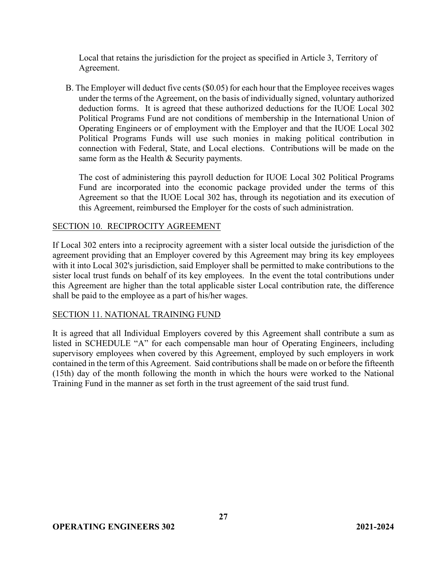Local that retains the jurisdiction for the project as specified in Article 3, Territory of Agreement.

B. The Employer will deduct five cents (\$0.05) for each hour that the Employee receives wages under the terms of the Agreement, on the basis of individually signed, voluntary authorized deduction forms. It is agreed that these authorized deductions for the IUOE Local 302 Political Programs Fund are not conditions of membership in the International Union of Operating Engineers or of employment with the Employer and that the IUOE Local 302 Political Programs Funds will use such monies in making political contribution in connection with Federal, State, and Local elections. Contributions will be made on the same form as the Health & Security payments.

The cost of administering this payroll deduction for IUOE Local 302 Political Programs Fund are incorporated into the economic package provided under the terms of this Agreement so that the IUOE Local 302 has, through its negotiation and its execution of this Agreement, reimbursed the Employer for the costs of such administration.

## SECTION 10. RECIPROCITY AGREEMENT

If Local 302 enters into a reciprocity agreement with a sister local outside the jurisdiction of the agreement providing that an Employer covered by this Agreement may bring its key employees with it into Local 302's jurisdiction, said Employer shall be permitted to make contributions to the sister local trust funds on behalf of its key employees. In the event the total contributions under this Agreement are higher than the total applicable sister Local contribution rate, the difference shall be paid to the employee as a part of his/her wages.

#### SECTION 11. NATIONAL TRAINING FUND

It is agreed that all Individual Employers covered by this Agreement shall contribute a sum as listed in SCHEDULE "A" for each compensable man hour of Operating Engineers, including supervisory employees when covered by this Agreement, employed by such employers in work contained in the term of this Agreement. Said contributions shall be made on or before the fifteenth (15th) day of the month following the month in which the hours were worked to the National Training Fund in the manner as set forth in the trust agreement of the said trust fund.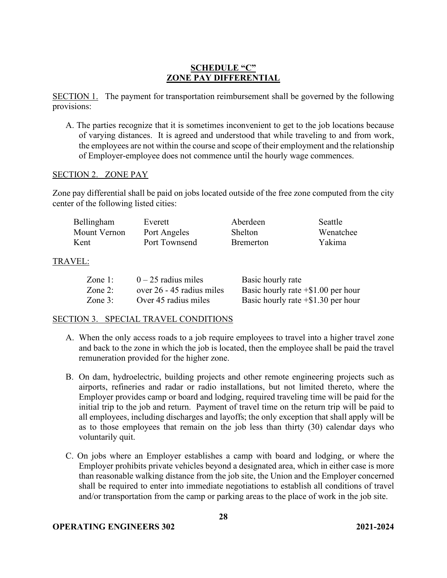## **SCHEDULE "C" ZONE PAY DIFFERENTIAL**

SECTION 1. The payment for transportation reimbursement shall be governed by the following provisions:

A. The parties recognize that it is sometimes inconvenient to get to the job locations because of varying distances. It is agreed and understood that while traveling to and from work, the employees are not within the course and scope of their employment and the relationship of Employer-employee does not commence until the hourly wage commences.

#### SECTION 2. ZONE PAY

Zone pay differential shall be paid on jobs located outside of the free zone computed from the city center of the following listed cities:

| Bellingham   | Everett       | Aberdeen          | Seattle   |
|--------------|---------------|-------------------|-----------|
| Mount Vernon | Port Angeles  | Shelton           | Wenatchee |
| Kent         | Port Townsend | <b>B</b> remerton | Yakima    |
|              |               |                   |           |

## TRAVEL:

| Zone $1$ : | $0-25$ radius miles       | Basic hourly rate                     |
|------------|---------------------------|---------------------------------------|
| Zone $2$ : | over 26 - 45 radius miles | Basic hourly rate $+$ \$1.00 per hour |
| Zone $3$ : | Over 45 radius miles      | Basic hourly rate $+$ \$1.30 per hour |

## SECTION 3. SPECIAL TRAVEL CONDITIONS

- A. When the only access roads to a job require employees to travel into a higher travel zone and back to the zone in which the job is located, then the employee shall be paid the travel remuneration provided for the higher zone.
- B. On dam, hydroelectric, building projects and other remote engineering projects such as airports, refineries and radar or radio installations, but not limited thereto, where the Employer provides camp or board and lodging, required traveling time will be paid for the initial trip to the job and return. Payment of travel time on the return trip will be paid to all employees, including discharges and layoffs; the only exception that shall apply will be as to those employees that remain on the job less than thirty (30) calendar days who voluntarily quit.
- C. On jobs where an Employer establishes a camp with board and lodging, or where the Employer prohibits private vehicles beyond a designated area, which in either case is more than reasonable walking distance from the job site, the Union and the Employer concerned shall be required to enter into immediate negotiations to establish all conditions of travel and/or transportation from the camp or parking areas to the place of work in the job site.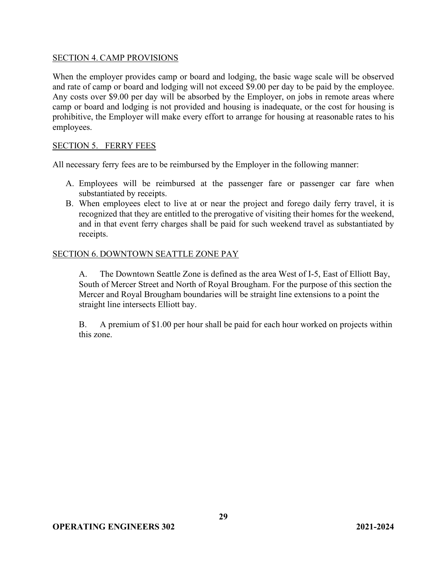#### SECTION 4. CAMP PROVISIONS

When the employer provides camp or board and lodging, the basic wage scale will be observed and rate of camp or board and lodging will not exceed \$9.00 per day to be paid by the employee. Any costs over \$9.00 per day will be absorbed by the Employer, on jobs in remote areas where camp or board and lodging is not provided and housing is inadequate, or the cost for housing is prohibitive, the Employer will make every effort to arrange for housing at reasonable rates to his employees.

#### SECTION 5. FERRY FEES

All necessary ferry fees are to be reimbursed by the Employer in the following manner:

- A. Employees will be reimbursed at the passenger fare or passenger car fare when substantiated by receipts.
- B. When employees elect to live at or near the project and forego daily ferry travel, it is recognized that they are entitled to the prerogative of visiting their homes for the weekend, and in that event ferry charges shall be paid for such weekend travel as substantiated by receipts.

#### SECTION 6. DOWNTOWN SEATTLE ZONE PAY

A. The Downtown Seattle Zone is defined as the area West of I-5, East of Elliott Bay, South of Mercer Street and North of Royal Brougham. For the purpose of this section the Mercer and Royal Brougham boundaries will be straight line extensions to a point the straight line intersects Elliott bay.

B. A premium of \$1.00 per hour shall be paid for each hour worked on projects within this zone.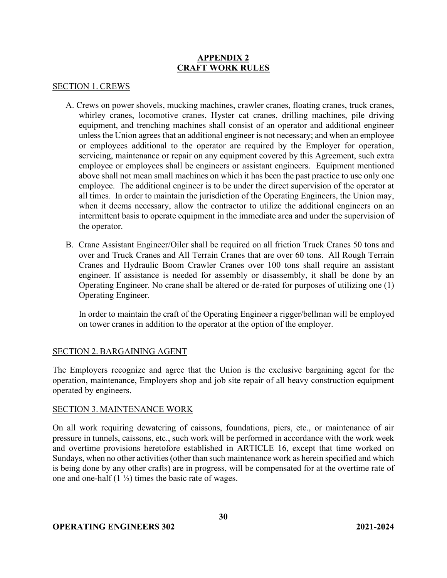## **APPENDIX 2 CRAFT WORK RULES**

#### SECTION 1. CREWS

- A. Crews on power shovels, mucking machines, crawler cranes, floating cranes, truck cranes, whirley cranes, locomotive cranes, Hyster cat cranes, drilling machines, pile driving equipment, and trenching machines shall consist of an operator and additional engineer unless the Union agrees that an additional engineer is not necessary; and when an employee or employees additional to the operator are required by the Employer for operation, servicing, maintenance or repair on any equipment covered by this Agreement, such extra employee or employees shall be engineers or assistant engineers. Equipment mentioned above shall not mean small machines on which it has been the past practice to use only one employee. The additional engineer is to be under the direct supervision of the operator at all times. In order to maintain the jurisdiction of the Operating Engineers, the Union may, when it deems necessary, allow the contractor to utilize the additional engineers on an intermittent basis to operate equipment in the immediate area and under the supervision of the operator.
- B. Crane Assistant Engineer/Oiler shall be required on all friction Truck Cranes 50 tons and over and Truck Cranes and All Terrain Cranes that are over 60 tons. All Rough Terrain Cranes and Hydraulic Boom Crawler Cranes over 100 tons shall require an assistant engineer. If assistance is needed for assembly or disassembly, it shall be done by an Operating Engineer. No crane shall be altered or de-rated for purposes of utilizing one (1) Operating Engineer.

In order to maintain the craft of the Operating Engineer a rigger/bellman will be employed on tower cranes in addition to the operator at the option of the employer.

#### SECTION 2. BARGAINING AGENT

The Employers recognize and agree that the Union is the exclusive bargaining agent for the operation, maintenance, Employers shop and job site repair of all heavy construction equipment operated by engineers.

#### SECTION 3. MAINTENANCE WORK

On all work requiring dewatering of caissons, foundations, piers, etc., or maintenance of air pressure in tunnels, caissons, etc., such work will be performed in accordance with the work week and overtime provisions heretofore established in ARTICLE 16, except that time worked on Sundays, when no other activities (other than such maintenance work as herein specified and which is being done by any other crafts) are in progress, will be compensated for at the overtime rate of one and one-half  $(1 \frac{1}{2})$  times the basic rate of wages.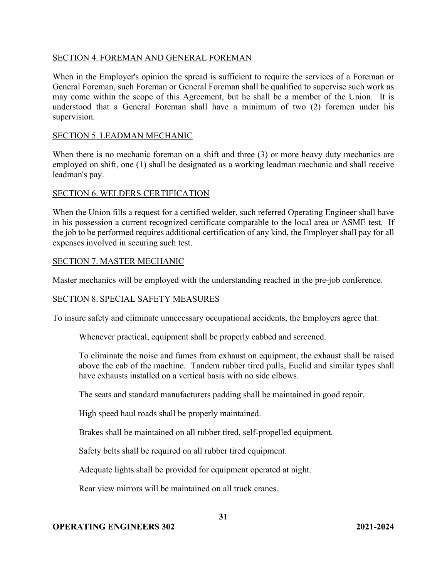#### SECTION 4. FOREMAN AND GENERAL FOREMAN

When in the Employer's opinion the spread is sufficient to require the services of a Foreman or General Foreman, such Foreman or General Foreman shall be qualified to supervise such work as may come within the scope of this Agreement, but he shall be a member of the Union. It is understood that a General Foreman shall have a minimum of two (2) foremen under his supervision.

#### SECTION 5. LEADMAN MECHANIC

When there is no mechanic foreman on a shift and three (3) or more heavy duty mechanics are employed on shift, one (1) shall be designated as a working leadman mechanic and shall receive leadman's pay.

#### SECTION 6. WELDERS CERTIFICATION

When the Union fills a request for a certified welder, such referred Operating Engineer shall have in his possession a current recognized certificate comparable to the local area or ASME test. If the job to be performed requires additional certification of any kind, the Employer shall pay for all expenses involved in securing such test.

#### SECTION 7. MASTER MECHANIC

Master mechanics will be employed with the understanding reached in the pre-job conference.

#### SECTION 8. SPECIAL SAFETY MEASURES

To insure safety and eliminate unnecessary occupational accidents, the Employers agree that:

Whenever practical, equipment shall be properly cabbed and screened.

To eliminate the noise and fumes from exhaust on equipment, the exhaust shall be raised above the cab of the machine. Tandem rubber tired pulls, Euclid and similar types shall have exhausts installed on a vertical basis with no side elbows.

The seats and standard manufacturers padding shall be maintained in good repair.

High speed haul roads shall be properly maintained.

Brakes shall be maintained on all rubber tired, self-propelled equipment.

Safety belts shall be required on all rubber tired equipment.

Adequate lights shall be provided for equipment operated at night.

Rear view mirrors will be maintained on all truck cranes.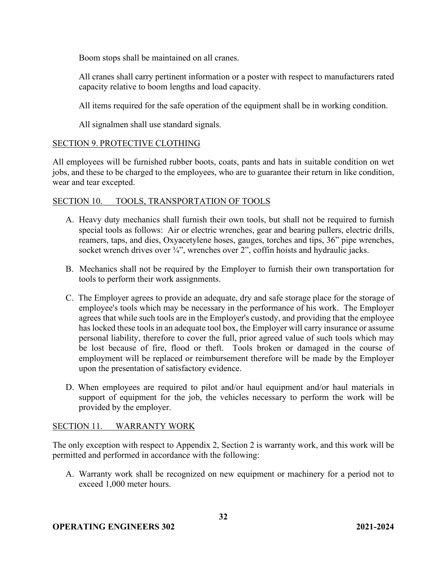Boom stops shall be maintained on all cranes.

All cranes shall carry pertinent information or a poster with respect to manufacturers rated capacity relative to boom lengths and load capacity.

All items required for the safe operation of the equipment shall be in working condition.

All signalmen shall use standard signals.

## SECTION 9. PROTECTIVE CLOTHING

All employees will be furnished rubber boots, coats, pants and hats in suitable condition on wet jobs, and these to be charged to the employees, who are to guarantee their return in like condition, wear and tear excepted.

## SECTION 10. TOOLS, TRANSPORTATION OF TOOLS

- A. Heavy duty mechanics shall furnish their own tools, but shall not be required to furnish special tools as follows: Air or electric wrenches, gear and bearing pullers, electric drills, reamers, taps, and dies, Oxyacetylene hoses, gauges, torches and tips, 36" pipe wrenches, socket wrench drives over <sup>3/4"</sup>, wrenches over 2", coffin hoists and hydraulic jacks.
- B. Mechanics shall not be required by the Employer to furnish their own transportation for tools to perform their work assignments.
- C. The Employer agrees to provide an adequate, dry and safe storage place for the storage of employee's tools which may be necessary in the performance of his work. The Employer agrees that while such tools are in the Employer's custody, and providing that the employee has locked these tools in an adequate tool box, the Employer will carry insurance or assume personal liability, therefore to cover the full, prior agreed value of such tools which may be lost because of fire, flood or theft. Tools broken or damaged in the course of employment will be replaced or reimbursement therefore will be made by the Employer upon the presentation of satisfactory evidence.
- D. When employees are required to pilot and/or haul equipment and/or haul materials in support of equipment for the job, the vehicles necessary to perform the work will be provided by the employer.

#### SECTION 11. WARRANTY WORK

The only exception with respect to Appendix 2, Section 2 is warranty work, and this work will be permitted and performed in accordance with the following:

A. Warranty work shall be recognized on new equipment or machinery for a period not to exceed 1,000 meter hours.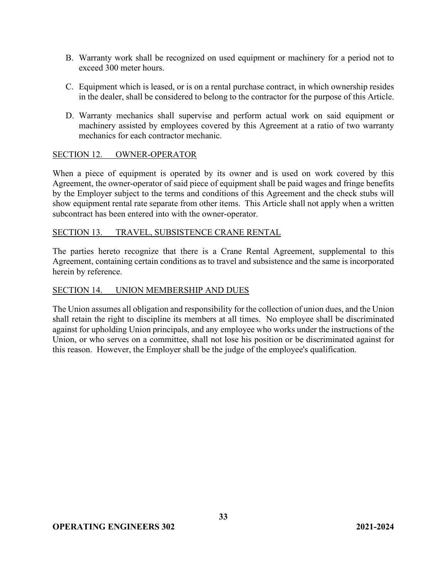- B. Warranty work shall be recognized on used equipment or machinery for a period not to exceed 300 meter hours.
- C. Equipment which is leased, or is on a rental purchase contract, in which ownership resides in the dealer, shall be considered to belong to the contractor for the purpose of this Article.
- D. Warranty mechanics shall supervise and perform actual work on said equipment or machinery assisted by employees covered by this Agreement at a ratio of two warranty mechanics for each contractor mechanic.

#### SECTION 12. OWNER-OPERATOR

When a piece of equipment is operated by its owner and is used on work covered by this Agreement, the owner-operator of said piece of equipment shall be paid wages and fringe benefits by the Employer subject to the terms and conditions of this Agreement and the check stubs will show equipment rental rate separate from other items. This Article shall not apply when a written subcontract has been entered into with the owner-operator.

#### SECTION 13. TRAVEL, SUBSISTENCE CRANE RENTAL

The parties hereto recognize that there is a Crane Rental Agreement, supplemental to this Agreement, containing certain conditions as to travel and subsistence and the same is incorporated herein by reference.

#### SECTION 14. UNION MEMBERSHIP AND DUES

The Union assumes all obligation and responsibility for the collection of union dues, and the Union shall retain the right to discipline its members at all times. No employee shall be discriminated against for upholding Union principals, and any employee who works under the instructions of the Union, or who serves on a committee, shall not lose his position or be discriminated against for this reason. However, the Employer shall be the judge of the employee's qualification.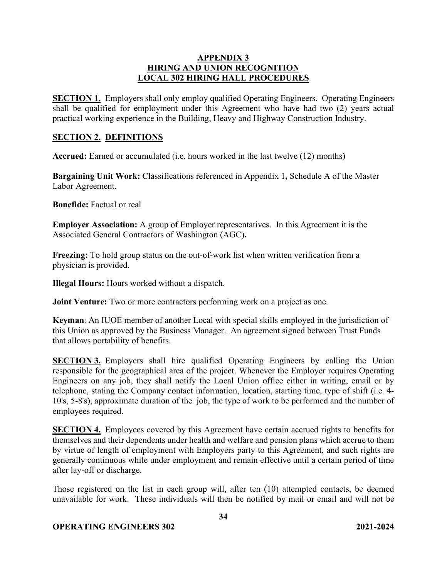### **APPENDIX 3 HIRING AND UNION RECOGNITION LOCAL 302 HIRING HALL PROCEDURES**

**SECTION 1.** Employers shall only employ qualified Operating Engineers. Operating Engineers shall be qualified for employment under this Agreement who have had two (2) years actual practical working experience in the Building, Heavy and Highway Construction Industry.

#### **SECTION 2. DEFINITIONS**

**Accrued:** Earned or accumulated (i.e. hours worked in the last twelve (12) months)

**Bargaining Unit Work:** Classifications referenced in Appendix 1**,** Schedule A of the Master Labor Agreement.

**Bonefide:** Factual or real

**Employer Association:** A group of Employer representatives. In this Agreement it is the Associated General Contractors of Washington (AGC)**.**

**Freezing:** To hold group status on the out-of-work list when written verification from a physician is provided.

**Illegal Hours:** Hours worked without a dispatch.

**Joint Venture:** Two or more contractors performing work on a project as one.

**Keyman**: An IUOE member of another Local with special skills employed in the jurisdiction of this Union as approved by the Business Manager. An agreement signed between Trust Funds that allows portability of benefits.

**SECTION 3.** Employers shall hire qualified Operating Engineers by calling the Union responsible for the geographical area of the project. Whenever the Employer requires Operating Engineers on any job, they shall notify the Local Union office either in writing, email or by telephone, stating the Company contact information, location, starting time, type of shift (i.e. 4- 10's, 5-8's), approximate duration of the job, the type of work to be performed and the number of employees required.

**SECTION 4.** Employees covered by this Agreement have certain accrued rights to benefits for themselves and their dependents under health and welfare and pension plans which accrue to them by virtue of length of employment with Employers party to this Agreement, and such rights are generally continuous while under employment and remain effective until a certain period of time after lay-off or discharge.

Those registered on the list in each group will, after ten (10) attempted contacts, be deemed unavailable for work. These individuals will then be notified by mail or email and will not be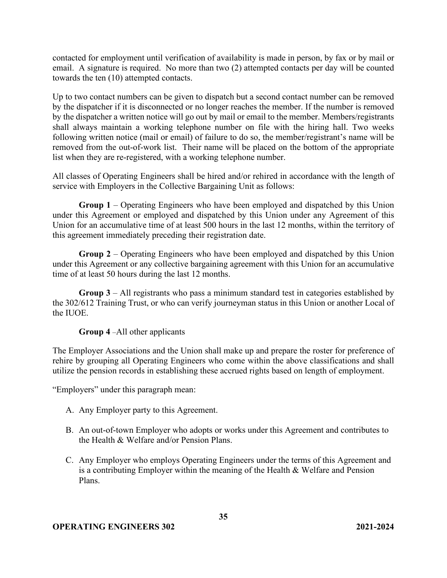contacted for employment until verification of availability is made in person, by fax or by mail or email. A signature is required. No more than two (2) attempted contacts per day will be counted towards the ten (10) attempted contacts.

Up to two contact numbers can be given to dispatch but a second contact number can be removed by the dispatcher if it is disconnected or no longer reaches the member. If the number is removed by the dispatcher a written notice will go out by mail or email to the member. Members/registrants shall always maintain a working telephone number on file with the hiring hall. Two weeks following written notice (mail or email) of failure to do so, the member/registrant's name will be removed from the out-of-work list. Their name will be placed on the bottom of the appropriate list when they are re-registered, with a working telephone number.

All classes of Operating Engineers shall be hired and/or rehired in accordance with the length of service with Employers in the Collective Bargaining Unit as follows:

**Group 1** – Operating Engineers who have been employed and dispatched by this Union under this Agreement or employed and dispatched by this Union under any Agreement of this Union for an accumulative time of at least 500 hours in the last 12 months, within the territory of this agreement immediately preceding their registration date.

**Group 2** – Operating Engineers who have been employed and dispatched by this Union under this Agreement or any collective bargaining agreement with this Union for an accumulative time of at least 50 hours during the last 12 months.

**Group 3** – All registrants who pass a minimum standard test in categories established by the 302/612 Training Trust, or who can verify journeyman status in this Union or another Local of the IUOE.

#### **Group 4** –All other applicants

The Employer Associations and the Union shall make up and prepare the roster for preference of rehire by grouping all Operating Engineers who come within the above classifications and shall utilize the pension records in establishing these accrued rights based on length of employment.

"Employers" under this paragraph mean:

- A. Any Employer party to this Agreement.
- B. An out-of-town Employer who adopts or works under this Agreement and contributes to the Health & Welfare and/or Pension Plans.
- C. Any Employer who employs Operating Engineers under the terms of this Agreement and is a contributing Employer within the meaning of the Health & Welfare and Pension Plans.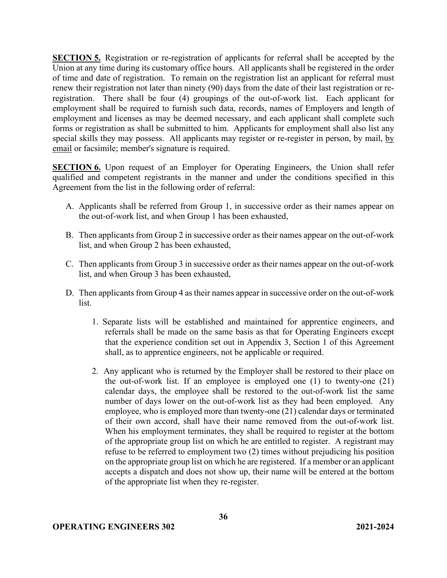**SECTION 5.** Registration or re-registration of applicants for referral shall be accepted by the Union at any time during its customary office hours. All applicants shall be registered in the order of time and date of registration. To remain on the registration list an applicant for referral must renew their registration not later than ninety (90) days from the date of their last registration or reregistration. There shall be four (4) groupings of the out-of-work list. Each applicant for employment shall be required to furnish such data, records, names of Employers and length of employment and licenses as may be deemed necessary, and each applicant shall complete such forms or registration as shall be submitted to him. Applicants for employment shall also list any special skills they may possess. All applicants may register or re-register in person, by mail, by email or facsimile; member's signature is required.

**SECTION 6.** Upon request of an Employer for Operating Engineers, the Union shall refer qualified and competent registrants in the manner and under the conditions specified in this Agreement from the list in the following order of referral:

- A. Applicants shall be referred from Group 1, in successive order as their names appear on the out-of-work list, and when Group 1 has been exhausted,
- B. Then applicants from Group 2 in successive order as their names appear on the out-of-work list, and when Group 2 has been exhausted,
- C. Then applicants from Group 3 in successive order as their names appear on the out-of-work list, and when Group 3 has been exhausted,
- D. Then applicants from Group 4 as their names appear in successive order on the out-of-work list.
	- 1. Separate lists will be established and maintained for apprentice engineers, and referrals shall be made on the same basis as that for Operating Engineers except that the experience condition set out in Appendix 3, Section 1 of this Agreement shall, as to apprentice engineers, not be applicable or required.
	- 2. Any applicant who is returned by the Employer shall be restored to their place on the out-of-work list. If an employee is employed one (1) to twenty-one (21) calendar days, the employee shall be restored to the out-of-work list the same number of days lower on the out-of-work list as they had been employed. Any employee, who is employed more than twenty-one (21) calendar days or terminated of their own accord, shall have their name removed from the out-of-work list. When his employment terminates, they shall be required to register at the bottom of the appropriate group list on which he are entitled to register. A registrant may refuse to be referred to employment two (2) times without prejudicing his position on the appropriate group list on which he are registered. If a member or an applicant accepts a dispatch and does not show up, their name will be entered at the bottom of the appropriate list when they re-register.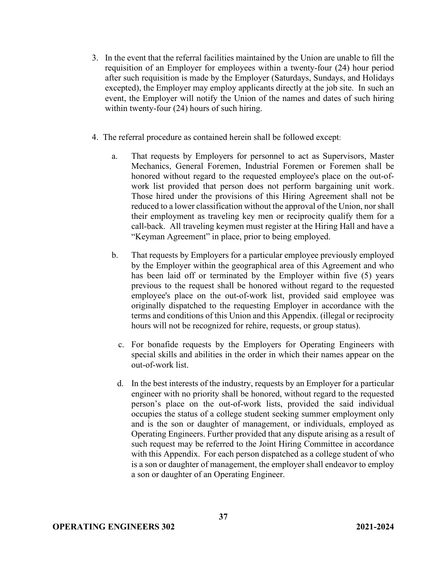- 3. In the event that the referral facilities maintained by the Union are unable to fill the requisition of an Employer for employees within a twenty-four (24) hour period after such requisition is made by the Employer (Saturdays, Sundays, and Holidays excepted), the Employer may employ applicants directly at the job site. In such an event, the Employer will notify the Union of the names and dates of such hiring within twenty-four (24) hours of such hiring.
- 4. The referral procedure as contained herein shall be followed except:
	- a. That requests by Employers for personnel to act as Supervisors, Master Mechanics, General Foremen, Industrial Foremen or Foremen shall be honored without regard to the requested employee's place on the out-ofwork list provided that person does not perform bargaining unit work. Those hired under the provisions of this Hiring Agreement shall not be reduced to a lower classification without the approval of the Union, nor shall their employment as traveling key men or reciprocity qualify them for a call-back. All traveling keymen must register at the Hiring Hall and have a "Keyman Agreement" in place, prior to being employed.
	- b. That requests by Employers for a particular employee previously employed by the Employer within the geographical area of this Agreement and who has been laid off or terminated by the Employer within five (5) years previous to the request shall be honored without regard to the requested employee's place on the out-of-work list, provided said employee was originally dispatched to the requesting Employer in accordance with the terms and conditions of this Union and this Appendix. (illegal or reciprocity hours will not be recognized for rehire, requests, or group status).
		- c. For bonafide requests by the Employers for Operating Engineers with special skills and abilities in the order in which their names appear on the out-of-work list.
		- d. In the best interests of the industry, requests by an Employer for a particular engineer with no priority shall be honored, without regard to the requested person's place on the out-of-work lists, provided the said individual occupies the status of a college student seeking summer employment only and is the son or daughter of management, or individuals, employed as Operating Engineers. Further provided that any dispute arising as a result of such request may be referred to the Joint Hiring Committee in accordance with this Appendix. For each person dispatched as a college student of who is a son or daughter of management, the employer shall endeavor to employ a son or daughter of an Operating Engineer.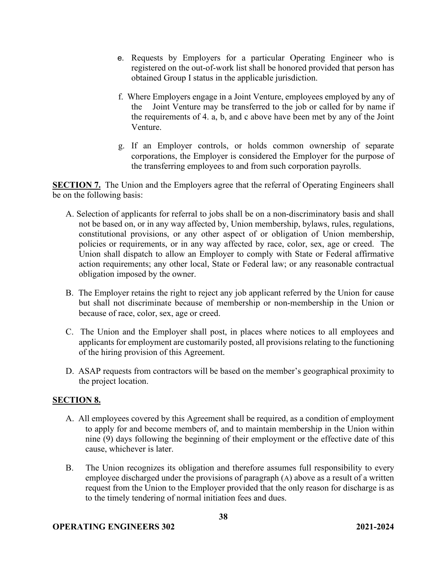- e. Requests by Employers for a particular Operating Engineer who is registered on the out-of-work list shall be honored provided that person has obtained Group I status in the applicable jurisdiction.
- f. Where Employers engage in a Joint Venture, employees employed by any of the Joint Venture may be transferred to the job or called for by name if the requirements of 4. a, b, and c above have been met by any of the Joint Venture.
- g. If an Employer controls, or holds common ownership of separate corporations, the Employer is considered the Employer for the purpose of the transferring employees to and from such corporation payrolls.

**SECTION 7.** The Union and the Employers agree that the referral of Operating Engineers shall be on the following basis:

- A. Selection of applicants for referral to jobs shall be on a non-discriminatory basis and shall not be based on, or in any way affected by, Union membership, bylaws, rules, regulations, constitutional provisions, or any other aspect of or obligation of Union membership, policies or requirements, or in any way affected by race, color, sex, age or creed. The Union shall dispatch to allow an Employer to comply with State or Federal affirmative action requirements; any other local, State or Federal law; or any reasonable contractual obligation imposed by the owner.
- B. The Employer retains the right to reject any job applicant referred by the Union for cause but shall not discriminate because of membership or non-membership in the Union or because of race, color, sex, age or creed.
- C. The Union and the Employer shall post, in places where notices to all employees and applicants for employment are customarily posted, all provisions relating to the functioning of the hiring provision of this Agreement.
- D. ASAP requests from contractors will be based on the member's geographical proximity to the project location.

## **SECTION 8.**

- A. All employees covered by this Agreement shall be required, as a condition of employment to apply for and become members of, and to maintain membership in the Union within nine (9) days following the beginning of their employment or the effective date of this cause, whichever is later.
- B. The Union recognizes its obligation and therefore assumes full responsibility to every employee discharged under the provisions of paragraph (A) above as a result of a written request from the Union to the Employer provided that the only reason for discharge is as to the timely tendering of normal initiation fees and dues.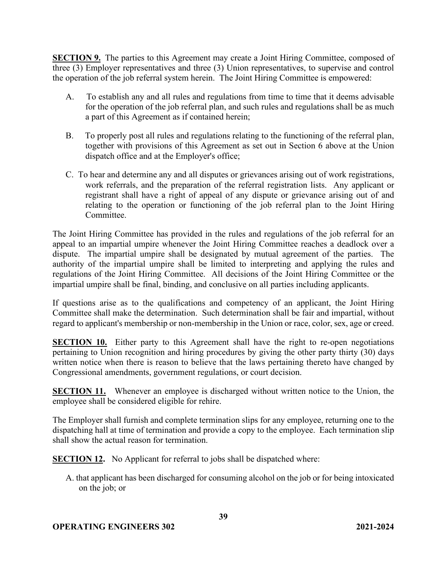**SECTION 9.** The parties to this Agreement may create a Joint Hiring Committee, composed of three (3) Employer representatives and three (3) Union representatives, to supervise and control the operation of the job referral system herein. The Joint Hiring Committee is empowered:

- A. To establish any and all rules and regulations from time to time that it deems advisable for the operation of the job referral plan, and such rules and regulations shall be as much a part of this Agreement as if contained herein;
- B. To properly post all rules and regulations relating to the functioning of the referral plan, together with provisions of this Agreement as set out in Section 6 above at the Union dispatch office and at the Employer's office;
- C. To hear and determine any and all disputes or grievances arising out of work registrations, work referrals, and the preparation of the referral registration lists. Any applicant or registrant shall have a right of appeal of any dispute or grievance arising out of and relating to the operation or functioning of the job referral plan to the Joint Hiring Committee.

The Joint Hiring Committee has provided in the rules and regulations of the job referral for an appeal to an impartial umpire whenever the Joint Hiring Committee reaches a deadlock over a dispute. The impartial umpire shall be designated by mutual agreement of the parties. The authority of the impartial umpire shall be limited to interpreting and applying the rules and regulations of the Joint Hiring Committee. All decisions of the Joint Hiring Committee or the impartial umpire shall be final, binding, and conclusive on all parties including applicants.

If questions arise as to the qualifications and competency of an applicant, the Joint Hiring Committee shall make the determination. Such determination shall be fair and impartial, without regard to applicant's membership or non-membership in the Union or race, color, sex, age or creed.

**SECTION 10.** Either party to this Agreement shall have the right to re-open negotiations pertaining to Union recognition and hiring procedures by giving the other party thirty (30) days written notice when there is reason to believe that the laws pertaining thereto have changed by Congressional amendments, government regulations, or court decision.

**SECTION 11.** Whenever an employee is discharged without written notice to the Union, the employee shall be considered eligible for rehire.

The Employer shall furnish and complete termination slips for any employee, returning one to the dispatching hall at time of termination and provide a copy to the employee. Each termination slip shall show the actual reason for termination.

**SECTION 12.** No Applicant for referral to jobs shall be dispatched where:

A. that applicant has been discharged for consuming alcohol on the job or for being intoxicated on the job; or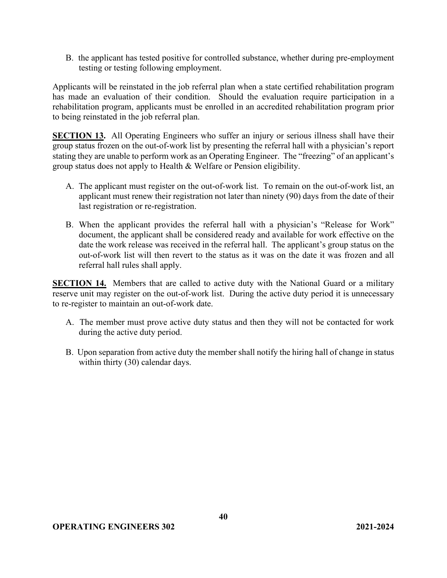B. the applicant has tested positive for controlled substance, whether during pre-employment testing or testing following employment.

Applicants will be reinstated in the job referral plan when a state certified rehabilitation program has made an evaluation of their condition. Should the evaluation require participation in a rehabilitation program, applicants must be enrolled in an accredited rehabilitation program prior to being reinstated in the job referral plan.

**SECTION 13.** All Operating Engineers who suffer an injury or serious illness shall have their group status frozen on the out-of-work list by presenting the referral hall with a physician's report stating they are unable to perform work as an Operating Engineer. The "freezing" of an applicant's group status does not apply to Health & Welfare or Pension eligibility.

- A. The applicant must register on the out-of-work list. To remain on the out-of-work list, an applicant must renew their registration not later than ninety (90) days from the date of their last registration or re-registration.
- B. When the applicant provides the referral hall with a physician's "Release for Work" document, the applicant shall be considered ready and available for work effective on the date the work release was received in the referral hall. The applicant's group status on the out-of-work list will then revert to the status as it was on the date it was frozen and all referral hall rules shall apply.

**SECTION 14.** Members that are called to active duty with the National Guard or a military reserve unit may register on the out-of-work list. During the active duty period it is unnecessary to re-register to maintain an out-of-work date.

- A. The member must prove active duty status and then they will not be contacted for work during the active duty period.
- B. Upon separation from active duty the member shall notify the hiring hall of change in status within thirty (30) calendar days.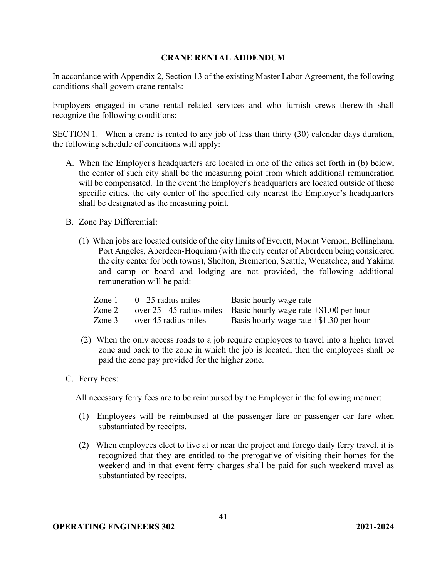## **CRANE RENTAL ADDENDUM**

In accordance with Appendix 2, Section 13 of the existing Master Labor Agreement, the following conditions shall govern crane rentals:

Employers engaged in crane rental related services and who furnish crews therewith shall recognize the following conditions:

SECTION 1. When a crane is rented to any job of less than thirty (30) calendar days duration, the following schedule of conditions will apply:

- A. When the Employer's headquarters are located in one of the cities set forth in (b) below, the center of such city shall be the measuring point from which additional remuneration will be compensated. In the event the Employer's headquarters are located outside of these specific cities, the city center of the specified city nearest the Employer's headquarters shall be designated as the measuring point.
- B. Zone Pay Differential:
	- (1) When jobs are located outside of the city limits of Everett, Mount Vernon, Bellingham, Port Angeles, Aberdeen-Hoquiam (with the city center of Aberdeen being considered the city center for both towns), Shelton, Bremerton, Seattle, Wenatchee, and Yakima and camp or board and lodging are not provided, the following additional remuneration will be paid:

| Zone $1$ | $0 - 25$ radius miles | Basic hourly wage rate                                                 |
|----------|-----------------------|------------------------------------------------------------------------|
| Zone 2   |                       | over 25 - 45 radius miles Basic hourly wage rate $\pm$ \$1.00 per hour |
| Zone 3   | over 45 radius miles  | Basis hourly wage rate $+$ \$1.30 per hour                             |

- (2) When the only access roads to a job require employees to travel into a higher travel zone and back to the zone in which the job is located, then the employees shall be paid the zone pay provided for the higher zone.
- C. Ferry Fees:

All necessary ferry fees are to be reimbursed by the Employer in the following manner:

- (1) Employees will be reimbursed at the passenger fare or passenger car fare when substantiated by receipts.
- (2) When employees elect to live at or near the project and forego daily ferry travel, it is recognized that they are entitled to the prerogative of visiting their homes for the weekend and in that event ferry charges shall be paid for such weekend travel as substantiated by receipts.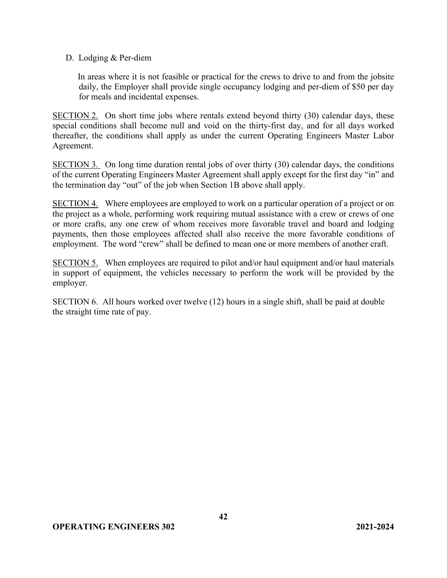#### D. Lodging & Per-diem

In areas where it is not feasible or practical for the crews to drive to and from the jobsite daily, the Employer shall provide single occupancy lodging and per-diem of \$50 per day for meals and incidental expenses.

SECTION 2. On short time jobs where rentals extend beyond thirty (30) calendar days, these special conditions shall become null and void on the thirty-first day, and for all days worked thereafter, the conditions shall apply as under the current Operating Engineers Master Labor Agreement.

SECTION 3. On long time duration rental jobs of over thirty (30) calendar days, the conditions of the current Operating Engineers Master Agreement shall apply except for the first day "in" and the termination day "out" of the job when Section 1B above shall apply.

SECTION 4. Where employees are employed to work on a particular operation of a project or on the project as a whole, performing work requiring mutual assistance with a crew or crews of one or more crafts, any one crew of whom receives more favorable travel and board and lodging payments, then those employees affected shall also receive the more favorable conditions of employment. The word "crew" shall be defined to mean one or more members of another craft.

SECTION 5. When employees are required to pilot and/or haul equipment and/or haul materials in support of equipment, the vehicles necessary to perform the work will be provided by the employer.

SECTION 6.All hours worked over twelve (12) hours in a single shift, shall be paid at double the straight time rate of pay.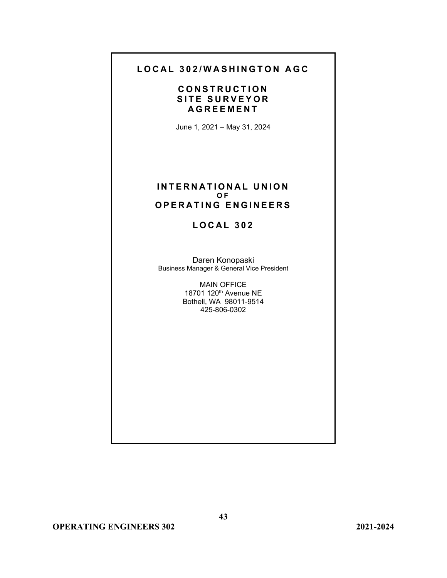# **LOCAL 302/WASHINGTON AGC**

## **CONSTRUCTION SITE SURVEYOR AGREEMENT**

June 1, 2021 – May 31, 2024

#### **INTERNATIONAL UNION O F OPERATING ENGINEERS**

# **LOCAL 302**

Daren Konopaski Business Manager & General Vice President

> MAIN OFFICE 18701 120th Avenue NE Bothell, WA 98011-9514 425-806-0302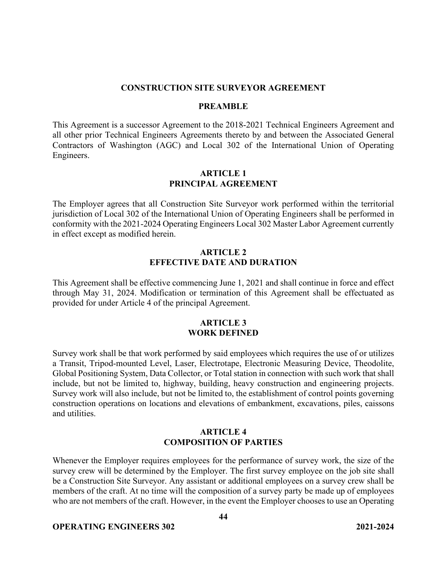#### **CONSTRUCTION SITE SURVEYOR AGREEMENT**

#### **PREAMBLE**

This Agreement is a successor Agreement to the 2018-2021 Technical Engineers Agreement and all other prior Technical Engineers Agreements thereto by and between the Associated General Contractors of Washington (AGC) and Local 302 of the International Union of Operating Engineers.

#### **ARTICLE 1 PRINCIPAL AGREEMENT**

The Employer agrees that all Construction Site Surveyor work performed within the territorial jurisdiction of Local 302 of the International Union of Operating Engineers shall be performed in conformity with the 2021-2024 Operating Engineers Local 302 Master Labor Agreement currently in effect except as modified herein.

#### **ARTICLE 2 EFFECTIVE DATE AND DURATION**

This Agreement shall be effective commencing June 1, 2021 and shall continue in force and effect through May 31, 2024. Modification or termination of this Agreement shall be effectuated as provided for under Article 4 of the principal Agreement.

#### **ARTICLE 3 WORK DEFINED**

Survey work shall be that work performed by said employees which requires the use of or utilizes a Transit, Tripod-mounted Level, Laser, Electrotape, Electronic Measuring Device, Theodolite, Global Positioning System, Data Collector, or Total station in connection with such work that shall include, but not be limited to, highway, building, heavy construction and engineering projects. Survey work will also include, but not be limited to, the establishment of control points governing construction operations on locations and elevations of embankment, excavations, piles, caissons and utilities.

#### **ARTICLE 4 COMPOSITION OF PARTIES**

Whenever the Employer requires employees for the performance of survey work, the size of the survey crew will be determined by the Employer. The first survey employee on the job site shall be a Construction Site Surveyor. Any assistant or additional employees on a survey crew shall be members of the craft. At no time will the composition of a survey party be made up of employees who are not members of the craft. However, in the event the Employer chooses to use an Operating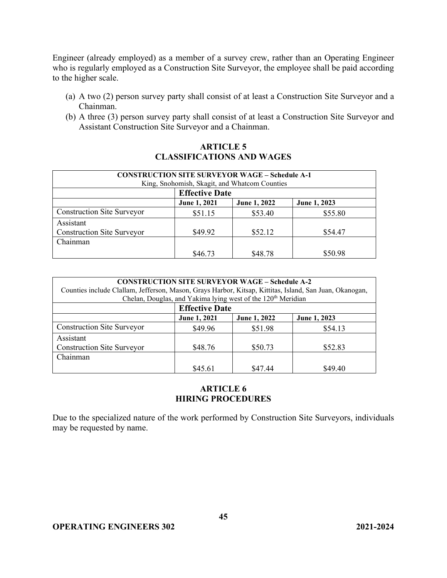Engineer (already employed) as a member of a survey crew, rather than an Operating Engineer who is regularly employed as a Construction Site Surveyor, the employee shall be paid according to the higher scale.

- (a) A two (2) person survey party shall consist of at least a Construction Site Surveyor and a Chainman.
- (b) A three (3) person survey party shall consist of at least a Construction Site Surveyor and Assistant Construction Site Surveyor and a Chainman.

## **ARTICLE 5 CLASSIFICATIONS AND WAGES**

| <b>CONSTRUCTION SITE SURVEYOR WAGE – Schedule A-1</b><br>King, Snohomish, Skagit, and Whatcom Counties |                       |              |              |
|--------------------------------------------------------------------------------------------------------|-----------------------|--------------|--------------|
|                                                                                                        | <b>Effective Date</b> |              |              |
|                                                                                                        | June 1, 2021          | June 1, 2022 | June 1, 2023 |
| <b>Construction Site Surveyor</b>                                                                      | \$51.15               | \$53.40      | \$55.80      |
| Assistant                                                                                              |                       |              |              |
| <b>Construction Site Surveyor</b>                                                                      | \$49.92               | \$52.12      | \$54.47      |
| Chainman                                                                                               |                       |              |              |
|                                                                                                        | \$46.73               | \$48.78      | \$50.98      |

| <b>CONSTRUCTION SITE SURVEYOR WAGE – Schedule A-2</b><br>Counties include Clallam, Jefferson, Mason, Grays Harbor, Kitsap, Kittitas, Island, San Juan, Okanogan,<br>Chelan, Douglas, and Yakima lying west of the 120 <sup>th</sup> Meridian |                       |              |              |
|----------------------------------------------------------------------------------------------------------------------------------------------------------------------------------------------------------------------------------------------|-----------------------|--------------|--------------|
|                                                                                                                                                                                                                                              | <b>Effective Date</b> |              |              |
|                                                                                                                                                                                                                                              | June 1, 2021          | June 1, 2022 | June 1, 2023 |
| <b>Construction Site Surveyor</b>                                                                                                                                                                                                            | \$49.96               | \$51.98      | \$54.13      |
| Assistant                                                                                                                                                                                                                                    |                       |              |              |
| <b>Construction Site Surveyor</b>                                                                                                                                                                                                            | \$48.76               | \$50.73      | \$52.83      |
| Chainman                                                                                                                                                                                                                                     |                       |              |              |
|                                                                                                                                                                                                                                              | \$45.61               | \$47.44      | \$49.40      |

#### **ARTICLE 6 HIRING PROCEDURES**

Due to the specialized nature of the work performed by Construction Site Surveyors, individuals may be requested by name.